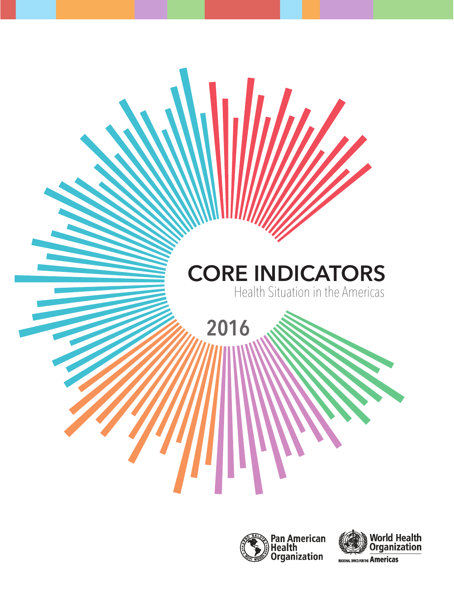





REGIONAL OFFICE FOR THE Americas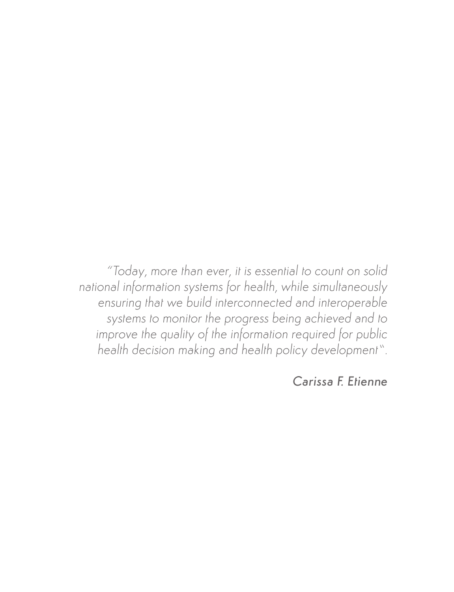*"Today, more than ever, it is essential to count on solid national information systems for health, while simultaneously ensuring that we build interconnected and interoperable systems to monitor the progress being achieved and to*  improve the quality of the information required for public *health decision making and health policy development".*

*Carissa F. Etienne*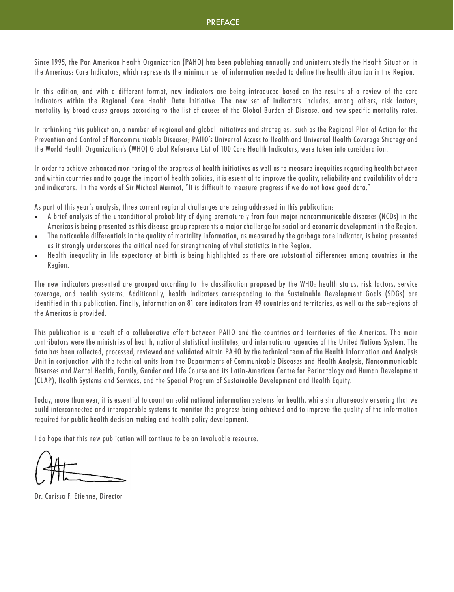#### **PREFACE**

Since 1995, the Pan American Health Organization (PAHO) has been publishing annually and uninterruptedly the Health Situation in the Americas: Core Indicators, which represents the minimum set of information needed to define the health situation in the Region.

In this edition, and with a different format, new indicators are being introduced based on the results of a review of the core indicators within the Regional Core Health Data Initiative. The new set of indicators includes, among others, risk factors, mortality by broad cause groups according to the list of causes of the Global Burden of Disease, and new specific mortality rates.

In rethinking this publication, a number of regional and global initiatives and strategies, such as the Regional Plan of Action for the Prevention and Control of Noncommunicable Diseases; PAHO's Universal Access to Health and Universal Health Coverage Strategy and the World Health Organization's (WHO) Global Reference List of 100 Core Health Indicators, were taken into consideration.

In order to achieve enhanced monitoring of the progress of health initiatives as well as to measure inequities regarding health between and within countries and to gauge the impact of health policies, it is essential to improve the quality, reliability and availability of data and indicators. In the words of Sir Michael Marmot, "It is difficult to measure progress if we do not have good data."

As part of this year's analysis, three current regional challenges are being addressed in this publication:

- A brief analysis of the unconditional probability of dying prematurely from four major noncommunicable diseases (NCDs) in the Americas is being presented as this disease group represents a major challenge for social and economic development in the Region.
- The noticeable differentials in the quality of mortality information, as measured by the garbage code indicator, is being presented as it strongly underscores the critical need for strengthening of vital statistics in the Region.
- Health inequality in life expectancy at birth is being highlighted as there are substantial differences among countries in the Region.

The new indicators presented are grouped according to the classification proposed by the WHO: health status, risk factors, service coverage, and health systems. Additionally, health indicators corresponding to the Sustainable Development Goals (SDGs) are identified in this publication. Finally, information on 81 core indicators from 49 countries and territories, as well as the sub-regions of the Americas is provided.

This publication is a result of a collaborative effort between PAHO and the countries and territories of the Americas. The main contributors were the ministries of health, national statistical institutes, and international agencies of the United Nations System. The data has been collected, processed, reviewed and validated within PAHO by the technical team of the Health Information and Analysis Unit in conjunction with the technical units from the Departments of Communicable Diseases and Health Analysis, Noncommunicable Diseases and Mental Health, Family, Gender and Life Course and its Latin-American Centre for Perinatology and Human Development (CLAP), Health Systems and Services, and the Special Program of Sustainable Development and Health Equity.

Today, more than ever, it is essential to count on solid national information systems for health, while simultaneously ensuring that we build interconnected and interoperable systems to monitor the progress being achieved and to improve the quality of the information required for public health decision making and health policy development.

I do hope that this new publication will continue to be an invaluable resource.

Dr. Carissa F. Etienne, Director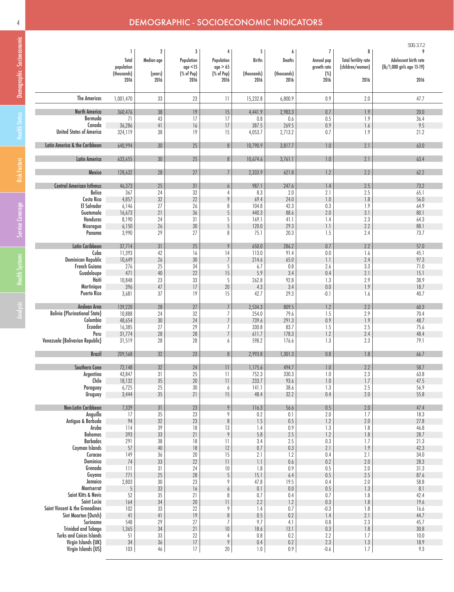# 4 DEMOGRAPHIC - SOCIOECONOMIC INDICATORS

|                                           |                                         |                                           |                                           |                                           |                            |                            |                                          |                                                      | SDG: 3.7.2                                               |
|-------------------------------------------|-----------------------------------------|-------------------------------------------|-------------------------------------------|-------------------------------------------|----------------------------|----------------------------|------------------------------------------|------------------------------------------------------|----------------------------------------------------------|
|                                           | 1<br>Total<br>population<br>(thousands) | $\boldsymbol{2}$<br>Median age<br>(years) | 3<br>Population<br>age < 15<br>(% of Pop) | 4<br>Population<br>age > 65<br>(% of Pop) | 5<br>Births<br>(thousands) | 6<br>Deaths<br>(thousands) | 7<br>Annual pop<br>growth rate<br>$(\%)$ | 8<br><b>Total fertility rate</b><br>(children/woman) | 9<br>Adolescent birth rate<br>(lb/1,000 girls age 15-19) |
|                                           | 2016                                    | 2016                                      | 2016                                      | 2016                                      | 2016                       | 2016                       | 2016                                     | 2016                                                 | 2016                                                     |
| <b>The Americas</b>                       | 1,001,470                               | 33                                        | 23                                        | $\overline{11}$                           | 15,232.8                   | 6,800.9                    | 0.9                                      | 2.0                                                  | 47.7                                                     |
| <b>North America</b>                      | 360,476                                 | 38                                        | $19$                                      | 15                                        | 4,441.9                    | 2,983.3                    | 0.7                                      | 1.9                                                  | 20.0                                                     |
| Bermuda                                   | 71                                      | 43                                        | 17                                        | 17                                        | 0.8                        | 0.6                        | 0.5                                      | 1.9                                                  | 36.4                                                     |
| Canada<br><b>United States of America</b> | 36,286<br>324,119                       | $4\mathrm{l}$<br>38                       | $16\,$<br>19                              | $17\,$<br>15                              | 387.5<br>4,053.7           | 269.5<br>2,713.2           | 0.9<br>0.7                               | 1.6<br>1.9                                           | 9.5<br>21.2                                              |
| Latin America & the Caribbean             | 640,994                                 | 30                                        | 25                                        | $\, 8$                                    | 10,790.9                   | 3,817.7                    | $1.0\,$                                  | 2.1                                                  | 63.0                                                     |
| Latin America                             | 633,655                                 | 30                                        | 25                                        | $8\,$                                     | 10,674.6                   | 3,761.1                    | $1.0\,$                                  | 2.1                                                  | 63.4                                                     |
| Mexico                                    | 128,632                                 | 28                                        | 27                                        | $\overline{7}$                            | 2,333.9                    | 621.8                      | 1.2                                      | 2.2                                                  | 62.2                                                     |
| <b>Central American Isthmus</b>           | 46,373                                  | 25                                        | 31                                        | 6                                         | 987.1                      | 247.6                      | 1.4                                      | 2.5                                                  | 73.2                                                     |
| Belice                                    | 367                                     | 24                                        | 32                                        | 4                                         | 8.3                        | 2.0                        | 2.1                                      | 2.5                                                  | 65.1                                                     |
| Costa Rica<br>El Salvador                 | 4,857<br>6,146                          | 32<br>27                                  | 22<br>26                                  | 9<br>8                                    | 69.4<br>104.8              | 24.0<br>42.3               | $1.0\,$<br>0.3                           | 1.8<br>1.9                                           | 56.0<br>64.9                                             |
| Guatemala                                 | 16,673                                  | $21\,$                                    | 36                                        | $\overline{5}$                            | 440.3                      | 88.6                       | $2.0$                                    | 3.1                                                  | 80.1                                                     |
| Honduras                                  | 8,190                                   | 24                                        | 31                                        | 5                                         | 169.1                      | 41.1                       | 1.4                                      | 2.3                                                  | 64.3                                                     |
| Nicaragua                                 | 6,150                                   | 26                                        | 30                                        | 5                                         | 120.0                      | 29.3                       | 1.1                                      | 2.2                                                  | 88.1                                                     |
| Panama                                    | 3,990                                   | 29                                        | 27                                        | 8                                         | 75.1                       | 20.3                       | 1.5                                      | 2.4                                                  | 73.7                                                     |
| Latin Caribbean                           | 37,714                                  | $31\,$                                    | 25                                        | 9                                         | 650.0                      | 286.2                      | 0.7                                      | 2.2                                                  | 57.0                                                     |
| Cuba                                      | 11,393                                  | 42                                        | 16                                        | 14                                        | 113.0                      | 91.4                       | $0.0\,$                                  | 1.6                                                  | 45.1                                                     |
| Dominican Republic<br>French Guiana       | 10,649                                  | 26                                        | $30\,$                                    | $\boldsymbol{7}$                          | 214.6                      | 65.0                       | 1.1                                      | 2.4                                                  | 97.3                                                     |
| Guadeloupe                                | 276<br>471                              | 25<br>$40\,$                              | 34<br>22                                  | 5<br>15                                   | 6.7<br>5.9                 | $0.8\,$<br>3.4             | 2.6<br>0.4                               | 3.3<br>2.1                                           | 71.0<br>15.1                                             |
| Haiti                                     | 10,848                                  | 23                                        | 33                                        | 5                                         | 262.8                      | 92.8                       | 1.3                                      | 2.9                                                  | 38.9                                                     |
| Martinique                                | 396                                     | $47\,$                                    | 17                                        | $20\,$                                    | 4.3                        | 3.4                        | $0.0\,$                                  | 1.9                                                  | 18.7                                                     |
| <b>Puerto Rico</b>                        | 3,681                                   | 37                                        | 19                                        | 15                                        | 42.7                       | 29.3                       | $-0.1$                                   | 1.6                                                  | 40.7                                                     |
| Andean Area                               | 139,220                                 | 28                                        | 27                                        | $\overline{7}$                            | 2,534.3                    | 809.5                      | 1.2                                      | 2.2                                                  | 60.3                                                     |
| <b>Bolivia (Plurinational State)</b>      | 10,888                                  | 24                                        | 32                                        | 7                                         | 254.0                      | 79.6                       | 1.5                                      | 2.9                                                  | 70.4                                                     |
| Colombia<br>Ecuador                       | 48,654<br>16,385                        | $30\,$<br>27                              | 24<br>29                                  | $\overline{7}$<br>$\overline{7}$          | 739.6<br>330.8             | 291.3<br>83.7              | 0.9<br>1.5                               | 1.9<br>2.5                                           | 48.7<br>75.6                                             |
| Peru                                      | 31,774                                  | 28                                        | 28                                        | $\overline{7}$                            | 611.7                      | 178.3                      | 1.2                                      | 2.4                                                  | 48.4                                                     |
| Venezuela (Bolivarian Republic)           | 31,519                                  | 28                                        | 28                                        | 6                                         | 598.2                      | 176.6                      | 1.3                                      | 2.3                                                  | 79.1                                                     |
| <b>Brazil</b>                             | 209,568                                 | 32                                        | 23                                        | 8                                         | 2,993.8                    | 1,301.3                    | $0.8\,$                                  | 1.8                                                  | 66.7                                                     |
| Southern Cone                             | 72,148                                  | 32                                        | 24                                        | $\overline{11}$                           | 1,175.6                    | 494.7                      | 1.0                                      | 2.2                                                  | 58.7                                                     |
| Argentina                                 | 43,847                                  | 31                                        | $25\,$                                    | $\overline{\mathbf{1}}$                   | 752.3                      | 330.3                      | $1.0\,$                                  | 2.3                                                  | 63.8                                                     |
| Chile                                     | 18,132                                  | 35                                        | $20\,$                                    | $\overline{1}$                            | 233.7                      | 93.6                       | $1.0\,$                                  | 1.7                                                  | 47.5                                                     |
| Paraguay                                  | 6,725                                   | 25                                        | 30                                        | 6                                         | 141.1                      | 38.6                       | 1.3                                      | 2.5                                                  | 56.9                                                     |
| Uruguay                                   | 3,444                                   | 35                                        | 21                                        | 15                                        | 48.4                       | 32.2                       | 0.4                                      | 2.0                                                  | 55.8                                                     |
| Non-Latin Caribbean                       | 7,339                                   | $31\,$                                    | 23                                        | $\,9$                                     | 116.3                      | 56.6                       | 0.5                                      | $2.0\,$                                              | 47.4                                                     |
| Anguilla                                  | 17                                      | 35                                        | 23                                        | 9                                         | 0.2                        | 0.1                        | $2.0\,$                                  | 1.7                                                  | 18.3                                                     |
| Antigua & Barbuda                         | 94                                      | 32                                        | $23\,$                                    | $\, 8$                                    | 1.5                        | $0.5\,$                    | 1.2                                      | $2.0$                                                | 27.8                                                     |
| Aruba                                     | 114                                     | 39                                        | 18                                        | 13                                        | 1.4                        | 0.9                        | 1.3                                      | 1.8                                                  | 46.8                                                     |
| Bahamas<br><b>Barbados</b>                | 393<br>291                              | 33<br>38                                  | 21<br>18                                  | $\,9$<br>$\overline{\phantom{a}}$         | $5.8$                      | $2.5\,$<br>2.5             | 1.2<br>0.3                               | 1.8<br>1.7                                           | 28.7                                                     |
| Cayman Islands                            | 57                                      | 40                                        | $18\,$                                    | 12                                        | 3.4<br>0.7                 | 0.3                        | 2.1                                      | 1.9                                                  | 21.3<br>42.3                                             |
| Curacao                                   | 149                                     | 36                                        | $20\,$                                    | 15                                        | 2.1                        | 1.2                        | 0.4                                      | 2.1                                                  | 34.0                                                     |
| Dominica                                  | 74                                      | 33                                        | 22                                        | $\begin{array}{c} \hline \end{array}$     | 1.1                        | 0.6                        | 0.2                                      | 2.0                                                  | 28.3                                                     |
| Grenada                                   | 111                                     | 31                                        | 24                                        | 10                                        | 1.8                        | 0.9                        | 0.5                                      | 2.0                                                  | 31.3                                                     |
| Guyana<br>Jamaica                         | 771                                     | 25                                        | $28\,$                                    | $\overline{5}$                            | 15.1                       | 6.4                        | 0.5                                      | 2.5                                                  | 87.6                                                     |
| Montserrat                                | 2,803<br>$\sqrt{5}$                     | 30<br>33                                  | 23<br>$16$                                | 9<br>$\overline{6}$                       | 47.8<br>0.1                | 19.5<br>$0.0\,$            | 0.4<br>0.5                               | 2.0<br>1.3                                           | 58.8<br>8.1                                              |
| Saint Kitts & Nevis                       | 52                                      | 35                                        | 21                                        | 8                                         | 0.7                        | 0.4                        | 0.7                                      | 1.8                                                  | 42.4                                                     |
| Saint Lucia                               | 164                                     | 34                                        | 20                                        | 11                                        | 2.2                        | 1.2                        | 0.3                                      | 1.8                                                  | 19.6                                                     |
| Saint Vincent & the Grenadines            | 102                                     | 33                                        | 22                                        | 9                                         | 1.4                        | 0.7                        | $-0.3$                                   | 1.8                                                  | 16.6                                                     |
| Sint Maarten (Dutch)<br>Suriname          | $41\,$                                  | $41\,$                                    | $19$                                      | $\, 8$<br>$\overline{7}$                  | 0.5                        | 0.2                        | 1.4                                      | 2.1                                                  | 44.7                                                     |
| <b>Trinidad and Tobago</b>                | 548<br>1,365                            | 29<br>34                                  | 27<br>21                                  | 10                                        | 9.7<br>18.6                | 4.1<br>13.1                | $0.8\,$<br>0.3                           | 2.3<br>1.8                                           | 45.7<br>30.8                                             |
| <b>Turks and Caicos Islands</b>           | 51                                      | 33                                        | 22                                        | 4                                         | $0.8\,$                    | $0.2\,$                    | 2.2                                      | 1.7                                                  | 10.0                                                     |
| Virgin Islands (UK)                       | $34\,$                                  | 36                                        | $\sqrt{ }$                                | $\pmb{9}$                                 | 0.4                        | $0.2\,$                    | 2.3                                      | $1.3\,$                                              | 18.9                                                     |
| Virgin Islands (US)                       | 103                                     | $46\,$                                    | 17                                        | $20\,$                                    | $1.0\,$                    | $0.9\,$                    | $-0.6$                                   | $1.7\,$                                              | 9.3                                                      |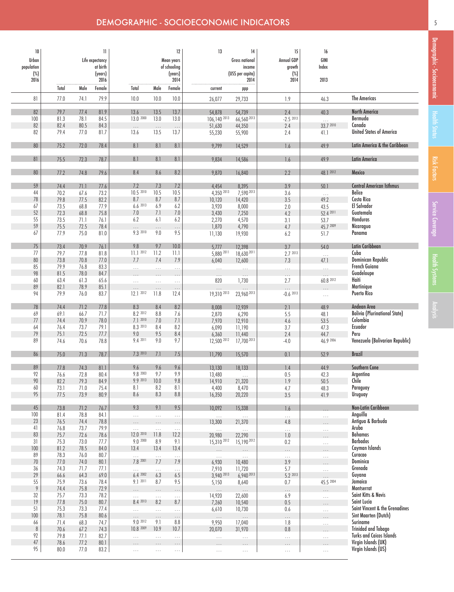| 10           |               |              | H               |                       |                      | 12               | 13                          | 14                    | 15                  | 16                    |                                      |
|--------------|---------------|--------------|-----------------|-----------------------|----------------------|------------------|-----------------------------|-----------------------|---------------------|-----------------------|--------------------------------------|
| Urban        |               |              | Life expectancy |                       |                      | Mean years       |                             | <b>Gross national</b> | Annual GDP          | GINI                  |                                      |
| population   |               |              | at birth        |                       |                      | of schooling     |                             | income                | growth              | Index                 |                                      |
| $(\%)$       |               |              | (years)         |                       |                      | (years)          |                             | (USS per capita)      | $(\%)$              |                       |                                      |
| 2016         |               |              | 2016<br>Female  |                       |                      | 2014             |                             | 2014                  | 2014                | 2013                  |                                      |
| 81           | Total<br>77.0 | Male<br>74.1 | 79.9            | Total<br>10.0         | Male<br>10.0         | Female<br>10.0   | current<br>26,077           | ppp<br>29,733         | 1.9                 | 46.3                  | <b>The Americas</b>                  |
|              |               |              |                 |                       |                      |                  |                             |                       |                     |                       |                                      |
| 82           | 79.7          | 77.4         | 81.9            | 13.6                  | 13.5                 | 13.7             | 54,878                      | 54,739                | 2.4                 | 40.3                  | North America                        |
| 100<br>82    | 81.3<br>82.4  | 78.1<br>80.5 | 84.5<br>84.3    | 13.0 2000             | 13.0                 | 13.0             | $106, 140^{2013}$<br>51,630 | 66,560 2013<br>44,350 | $-2.52013$<br>2.4   | $\cdots$<br>33.7 2010 | Bermuda<br>Canada                    |
| 82           | 79.4          | 77.0         | 81.7            | $\ldots$<br>13.6      | $\ldots$<br>13.5     | $\ldots$<br>13.7 | 55,230                      | 55,900                | 2.4                 | 41.1                  | <b>United States of America</b>      |
|              |               |              |                 | 8.1                   | 8.1                  |                  |                             |                       |                     |                       | Latin America & the Caribbean        |
| 80           | 75.2          | 72.0         | 78.4            |                       |                      | 8.1              | 9,799                       | 14,529                | 1.6                 | 49.9                  |                                      |
| 81           | 75.5          | 72.3         | 78.7            | 8.1                   | 8.1                  | 8.1              | 9,834                       | 14,586                | 1.6                 | 49.9                  | <b>Latin America</b>                 |
| $80\,$       | 77.2          | 74.8         | 79.6            | 8.4                   | 8.6                  | 8.2              | 9,870                       | 16,840                | 2.2                 | 48.1 2012             | Mexico                               |
| 59           | 74.4          | 71.1         | 77.6            | 7.2                   | 7.3                  | 7.2              | 4,454                       | 8,395                 | 3.9                 | 50.1                  | <b>Central American Isthmus</b>      |
| 44           | 70.2          | 67.6         | 73.2            | 10.5 2010             | 10.5                 | 10.5             | 4,350 2013                  | 7,590 2013            | 3.6                 | $\ldots$              | <b>Belice</b>                        |
| 78           | 79.8          | 77.5         | 82.2            | 8.7                   | 8.7                  | 8.7              | 10,120                      | 14,420                | $3.5\,$             | 49.2                  | Costa Rica                           |
| 67           | 73.5          | 68.8         | 77.9            | 6.62013               | 6.9                  | 6.2              | 3,920                       | 8,000                 | $2.0\,$             | 43.5                  | El Salvador                          |
| 52           | 72.3          | 68.8         | 75.8            | $7.0\,$               | 7.1                  | $7.0\,$          | 3,430                       | 7,250                 | 4.2                 | 52.4 2011             | Guatemala                            |
| 55           | 73.5          | 71.1         | 76.1            | 6.2                   | 6.1                  | 6.2              | 2,270                       | 4,570                 | 3.1                 | 53.7                  | Honduras                             |
| 59           | 75.5          | 72.5         | 78.4            | $\cdots$              | $\cdots$             | $\cdots$         | 1,870                       | 4,790                 | 4.7                 | 45.7 2009             | Nicaragua                            |
| 67           | 77.9          | 75.0         | 81.0            | 9.3 2010              | 9.0                  | 9.5              | 11,130                      | 19,930                | 6.2                 | 51.7                  | Panama                               |
| 75           | 73.4          | 70.9         | 76.1            | 9.8                   | 9.7                  | 10.0             | 5,777                       | 12,398                | 3.7                 | 54.0                  | Latin Caribbean                      |
| 77           | 79.7          | 77.8         | 81.8            | 11.1 2012             | 11.2                 | 11.1             | 5,880 2011                  | 18,630 2011           | 2.7 2013            | $\ldots$              | Cuba                                 |
| 80           | 73.8          | 70.8         | 77.0            | 7.7                   | 7.4                  | 7.9              | 6,040                       | 12,600                | 7.3                 | 47.1                  | Dominican Republic                   |
| 85           | 79.9          | 76.8         | 83.3            | .                     | .                    | .                | $\ldots$                    | $\ldots$              | $\cdots$            |                       | French Guiana                        |
| 98           | 81.5          | 78.0         | 84.7            |                       |                      | .                | $\cdots$                    |                       |                     |                       | Guadeloupe                           |
| 60           | 63.4          | 61.3         | 65.6            | $\cdots$              | $\cdots$             | $\ldots$         | 820                         | 1,730                 | 2.7                 | 60.8 2012             | Haiti                                |
| 89           | 82.1          | 78.9         | 85.1            | $\cdots$              | $\cdots$             | $\ldots$         | $\cdots$                    |                       |                     |                       | Martinique                           |
| 94           | 79.9          | 76.0         | 83.7            | 12.1 2012             | 11.8                 | 12.4             | 19,310 2013                 | 23,960 2013           | $-0.62013$          | $\cdots$              | <b>Puerto Rico</b>                   |
| 78           | 74.4          | 71.2         | 77.8            | 8.3                   | 8.4                  | 8.2              | 8,008                       | 12,939                | 2.1                 | 48.9                  | Andean Area                          |
| 69           | 69.1          | 66.7         | 71.7            | 8.2 2012              | $8.8\,$              | 7.6              | 2,870                       | 6,290                 | 5.5                 | 48.1                  | <b>Bolivia (Plurinational State)</b> |
| 77           | 74.4          | 70.9         | 78.0            | 7.12010               | 7.0                  | 7.1              | 7,970                       | 12,910                | 4.6                 | 53.5                  | Colombia                             |
| 64           | 76.4          | 73.7         | 79.1            | 8.3 2013              | 8.4                  | 8.2              | 6,090                       | 11,190                | 3.7                 | 47.3                  | Ecuador                              |
| 79           | 75.1          | 72.5         | 77.7            | 9.0                   | 9.5                  | 8.4              | 6,360                       | 11,440                | 2.4                 | 44.7                  | Peru                                 |
| 89           | 74.6          | 70.6         | 78.8            | 9.4 2011              | 9.0                  | 9.7              | 12,500 2012                 | 17,700 2013           | $-4.0$              | 46.9 2006             | Venezuela (Bolivarian Republic)      |
| 86           | 75.0          | 71.3         | 78.7            | 7.3 2013              | 7.1                  | 7.5              | 11,790                      | 15,570                | 0.1                 | 52.9                  | <b>Brazil</b>                        |
| 89           | 77.8          | 74.3         | 81.1            | 9.6                   | 9.6                  | 9.6              | 13,130                      | 18,133                | 1.4                 | 44.9                  | Southern Cone                        |
| 92           | 76.6          | 72.8         | 80.4            | 9.8 2003              | 9.7                  | 9.9              | 13,480                      | $\sim$ $\sim$ $\sim$  | $0.5\,$             | 42.3                  | Argentina                            |
| 90           | 82.2          | 79.3         | 84.9            | 9.9 2013              | 10.0                 | 9.8              | 14,910                      | 21,320                | 1.9                 | 50.5                  | Chile                                |
| 60           | 73.1          | 71.0         | 75.4            | 8.1                   | 8.2                  | 8.1              | 4,400                       | 8,470                 | 4.7                 | 48.3                  | Paraguay                             |
| 95           | 77.5          | 73.9         | 80.9            | 8.6                   | 8.3                  | $8.8\,$          | 16,350                      | 20,220                | 3.5                 | 41.9                  | <b>Uruguay</b>                       |
| 45           | 73.8          | 71.2         | 76.7            | 9.3                   | 9.1                  | 9.5              | 10,092                      | 15,338                | 1.6                 |                       | Non-Latin Caribbean                  |
| $100$        | 81.4          | 78.8         | 84.1            | $\ldots$              | $\ldots$             | $\ldots$         | $\ldots$                    | $\ldots$              | $\ldots$            | $\ldots$              | Anguilla                             |
| 23           | 76.5          | 74.4         | 78.8            | $\ldots$              | $\ldots$             | $\cdots$         | 13,300                      | 21,370                | $4.8\,$             | .                     | Antigua & Barbuda                    |
| 41           | 76.8          | 73.7         | 79.9            | $\ldots$<br>12.0 2010 | $\ldots$             | $\ldots$         | $\bar{\mathcal{L}}$         | $\ldots$              | $\ldots$            | .                     | Aruba<br><b>Bahamas</b>              |
| 83           | 75.7<br>75.3  | 72.6         | 78.6            | 9.0 2000              | 11.8                 | 12.2<br>9.1      | 20,980                      | 22,290<br>15,190 2012 | $\, 1.0$            |                       | <b>Barbados</b>                      |
| 31<br>100    | 81.2          | 73.0<br>78.5 | 77.7<br>84.0    | 13.4                  | 8.9<br>13.4          | 13.4             | 15,310 2012                 |                       | 0.2                 | $\cdots$              | Cayman Islands                       |
| 89           | 78.3          | 76.0         | 80.7            | .                     | .                    | $\ldots$         |                             |                       |                     | $\cdots$              | Curacao                              |
| $70\,$       | 77.0          | 74.0         | 80.1            | 7.8 2001              | 7.7                  | 7.9              | $\ldots$<br>6,930           | $\ldots$<br>10,480    | $\ldots$<br>$3.9\,$ | .                     | Dominica                             |
| 36           | 74.3          | 71.7         | 77.1            |                       | $\cdots$             | .                | 7,910                       | 11,720                | 5.7                 | .                     | Grenada                              |
| 29           | 66.6          | 64.3         | 69.0            | 6.42002               | 6.3                  | 6.5              | 3.940 2013                  | 6,940 2013            | 5.2 2013            | $\cdots$              | Guyana                               |
| 55           | 75.9          | 73.6         | 78.4            | 9.1 2011              | 8.7                  | 9.5              | 5,150                       | 8,640                 | $0.7\,$             | 45.5 2004             | Jamaica                              |
| 9            | 74.4          | 75.8         | 72.9            | $\cdots$              | .                    | $\ldots$         | $\ldots$                    | $\ldots$              | $\cdots$            | $\cdots$              | Montserrat                           |
| 32           | 75.7          | 73.3         | 78.2            | $\ldots$              | .                    | .                | 14,920                      | 22,600                | 6.9                 | $\cdots$              | Saint Kitts & Nevis                  |
| 19           | 77.8          | 75.0         | 80.7            | 8.4 2013              | 8.2                  | 8.7              | 7,260                       | 10,540                | $0.5\,$             | $\cdots$              | Saint Lucia                          |
| 51           | 75.3          | 73.3         | 77.4            | .                     | .                    | $\ldots$         | 6,610                       | 10,730                | 0.6                 | $\cdots$              | Saint Vincent & the Grenadines       |
| $100$        | 78.1          | 75.8         | 80.6            | $\cdots$<br>9.0 2012  | .                    | $\cdots$         | $\ldots$                    | $\ldots$              |                     | $\cdots$              | Sint Maarten (Dutch)<br>Suriname     |
| 66           | 71.4          | 68.3         | 74.7            | 10.8 2009             | 9.1<br>10.9          | 8.8              | 9,950                       | 17,040                | 1.8                 | $\ldots$              | <b>Trinidad and Tobago</b>           |
| $\, 8$<br>92 | 70.6<br>79.8  | 67.2<br>77.1 | 74.3<br>82.7    |                       |                      | 10.7             | 20,070                      | 31,970                | 0.8                 | $\cdots$              | <b>Turks and Caicos Islands</b>      |
| 47           | 78.6          | 77.2         | 80.1            | $\ldots$              | $\ldots$             | $\ldots$         | $\ldots$                    | $\ldots$              | $\ldots$            | .                     | Virgin Islands (UK)                  |
| 95           | 80.0          | 77.0         | 83.2            | .<br>$\cdots$         | $\cdots$<br>$\cdots$ | $\cdots$         | $\ldots$                    |                       | $\ldots$            | $\cdots$              | Virgin Islands (US)                  |
|              |               |              |                 |                       |                      |                  |                             | $\ldots$              |                     |                       |                                      |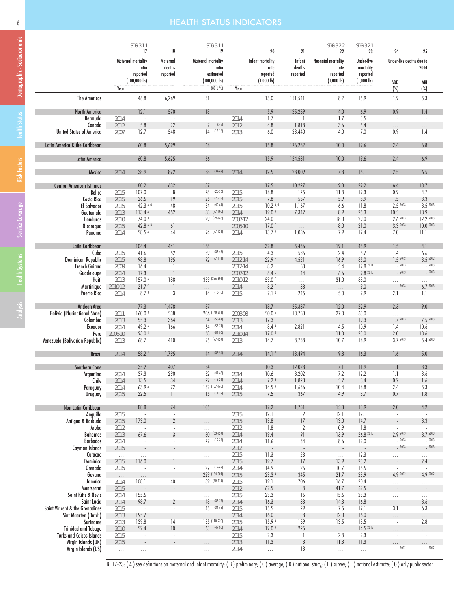## 6 HEALTH STATUS INDICATORS

|                                                  |                | SDG: 3.1.1<br>17              | 18                                    | SDG: 3.1.1<br>19                      |                 | 20                          | 21                                | SDG: 3.2.2<br>22          | SDG: 3.2.1<br>23            | 24                                   | 25                            |
|--------------------------------------------------|----------------|-------------------------------|---------------------------------------|---------------------------------------|-----------------|-----------------------------|-----------------------------------|---------------------------|-----------------------------|--------------------------------------|-------------------------------|
|                                                  |                | Maternal mortality            | Maternal                              | Maternal mortality                    |                 | Infant mortality            | <b>Infant</b>                     | <b>Neonatal mortality</b> | Under-five                  | Under-five deaths due to             |                               |
|                                                  |                | ratio                         | deaths                                | ratio                                 |                 | rate                        | deaths                            | rate                      | mortality                   |                                      | 2014                          |
|                                                  |                | reported<br>$(100,000 \, lb)$ | reported                              | estimated<br>$(100,000 \, \text{lb})$ |                 | reported<br>$(1,000 \, lb)$ | reported                          | reported<br>(1,000 lb)    | reported<br>$(1,000 \, lb)$ | ADD                                  | ARI                           |
|                                                  | Year           |                               |                                       | (80 UI%)                              | Year            |                             |                                   |                           |                             | $(\%)$                               | $(\%)$                        |
| <b>The Americas</b>                              |                | 46.8                          | 6,269                                 | 51                                    |                 | 13.0                        | 151,541                           | 8.2                       | 15.9                        | 1.9                                  | 5.3                           |
| <b>North America</b>                             |                | 12.1                          | 570                                   | 13                                    |                 | 5.9                         | 25,259                            | 4.0                       | 6.9                         | 0.9                                  | 1.4                           |
| Bermuda<br>Canada                                | 2014<br>2012   | $\sim$<br>5.8                 | 22                                    | $\ldots$<br>$(5-9)$<br>$\overline{7}$ | 2014<br>2012    | 1.7<br>4.8                  | $\overline{\phantom{a}}$<br>1,818 | 1.7<br>3.6                | 3.5<br>5.4                  | $\sim$                               | $\sim$                        |
| <b>United States of America</b>                  | 2007           | 12.7                          | 548                                   | $14$ (12-16)                          | 2013            | 6.0                         | 23,440                            | 4.0                       | 7.0                         | $\cdots$<br>0.9                      | $\cdots$<br>1.4               |
| Latin America & the Caribbean                    |                | 60.8                          | 5,699                                 | 66                                    |                 | 15.8                        | 126,282                           | 10.0                      | 19.6                        | 2.4                                  | $6.8$                         |
| <b>Latin America</b>                             |                | 60.8                          | 5,625                                 | 66                                    |                 | 15.9                        | 124,531                           | 10.0                      | 19.6                        | 2.4                                  | 6.9                           |
| Mexico                                           | 2014           | 38.9F                         | 872                                   | 38 (34-42)                            | 2014            | 12.5F                       | 28,009                            | 7.8                       | 15.1                        | 2.5                                  | 6.5                           |
|                                                  |                |                               |                                       |                                       |                 |                             |                                   |                           |                             |                                      |                               |
| <b>Central American Isthmus</b><br><b>Belice</b> | 2015           | 80.2<br>107.0                 | 632<br>8                              | 87<br>$(20-36)$<br>28                 | 2015            | 17.5<br>16.8                | 10,227<br>125                     | 9.8<br>11.3               | 22.2<br>19.3                | 6.4<br>0.9                           | 13.7<br>4.7                   |
| Costa Rica                                       | 2015           | 26.5                          | 19                                    | 25<br>$(20-29)$                       | 2015            | 7.8                         | 557                               | 5.9                       | 8.9                         | 1.5                                  | 3.3                           |
| El Salvador                                      | 2015           | 42.3 A, G                     | 48                                    | $(40-69)$<br>54                       | 2015            | $10.2$ A, G                 | 1,167                             | 6.6                       | 11.8                        | 2.5 2013                             | 8.5 2013                      |
| Guatemala                                        | 2013           | 113.4 A                       | 452                                   | $(77-100)$<br>88                      | 2014            | 19.0 <sup>A</sup>           | 7,342                             | 8.9                       | 25.3                        | 10.5                                 | 18.9                          |
| Honduras                                         | 2010           | 74.0 <sup>D</sup>             | $\cdots$                              | 129 (99-166)                          | 2007-12         | 24.0 E                      | $\bar{\mathcal{L}}$ .             | 18.0                      | 29.0                        | 2.6 2013                             | 12.2 2013                     |
| Nicaragua                                        | 2015           | 42.8 A, B                     | 61                                    |                                       | 2005-10         | 17.0 <sup>E</sup>           | $\ldots$                          | 8.0                       | 21.0                        | 3.3 2013                             | 10.0 2013                     |
| Panama                                           | 2014           | 58.5 A                        | 44                                    | 94 (77-121)                           | 2014            | 13.7 <sup>A</sup>           | 1,036                             | 7.9                       | 17.4                        | 7.0                                  | 11.1                          |
| Latin Caribbean                                  |                | 104.4                         | 441                                   | 188<br>$39 (33-47)$                   |                 | 32.8                        | 5,436                             | 19.1                      | 48.9                        | 1.5                                  | 4.1                           |
| Cuba<br><b>Dominican Republic</b>                | 2015<br>2015   | 41.6<br>98.8                  | 52<br>195                             | 92 (77-111)                           | 2015<br>2012-14 | 4.3<br>22.9F                | 535<br>4,521                      | 2.4<br>16.9               | 5.7<br>35.0                 | 1.4<br>1.52012                       | 6.6<br>3.5 2012               |
| French Guiana                                    | 2009           | 16.4                          | -1                                    | $\ldots$                              | 2012-14         | 8.2C                        | 53                                | 5.4                       | 12.8 2011                   | $-2013$                              | $-2013$                       |
| Guadeloupe                                       | 2014           | 17.3                          | $\overline{\phantom{a}}$              | $\cdots$                              | 2007-12         | 8.4C                        | 44                                | 6.6                       | 9.8 2013                    | $-2013$                              | $-2013$                       |
| Haiti                                            | 2013           | 157.0 A                       | 188                                   | 359 (236-601)                         | 2010-12         | 59.0 E                      | $\cdots$                          | 31.0                      | 88.0                        | $\cdots$                             | .                             |
| Martinique                                       | 2010-12        | 21.7 <sup>c</sup>             | $\begin{array}{c} \hline \end{array}$ | $\cdots$                              | 2014            | 8.2 <sup>c</sup>            | 38                                | $\cdots$                  | $9.0\,$                     | $-2013$                              | 6.72013                       |
| <b>Puerto Rico</b>                               | 2014           | 8.7B                          | 3                                     | $14$ (10-18)                          | 2015            | 7.1 <sup>B</sup>            | 245                               | 5.0                       | 7.9                         | 2.1                                  | 1.1                           |
| Andean Area                                      |                | 77.3                          | 1,478                                 | 87                                    |                 | 18.7                        | 25,337                            | 12.0                      | 22.9                        | 2.3                                  | 9.0                           |
| <b>Bolivia (Plurinational State)</b>             | 2011           | 160.0 <sup>D</sup>            | 538                                   | 206 (140-351)                         | 2003-08         | $50.0$ E                    | 13,758                            | 27.0                      | 63.0                        | 22                                   | т.                            |
| Colombia                                         | 2013           | 55.3                          | 364                                   | $64$ (56-81)                          | 2013            | 17.3 F                      | $\ldots$                          | $\ldots$                  | 19.3                        | 1.72013                              | 7.5 2013                      |
| Ecuador                                          | 2014           | 49.2 A                        | 166                                   | $(57-71)$<br>64                       | 2014            | 8.4 A                       | 2,821                             | 4.5                       | 10.9                        | 1.4                                  | 10.6                          |
| Peru                                             | 2006-10        | 93.0 E                        | $\cdots$                              | $(54-80)$<br>68                       | 2010-14         | 17.0 <sup>E</sup>           | $\ldots$                          | 11.0                      | 23.0                        | 2.0                                  | 13.6                          |
| Venezuela (Bolivarian Republic)                  | 2013           | 68.7                          | 410                                   | 95 (77-124)                           | 2013            | 14.7                        | 8,758                             | 10.7                      | 16.9                        | 3.7 2013                             | 5.4 2013                      |
| <b>Brazil</b>                                    | 2014           | 58.2F                         | 1,795                                 | 44 (36-54)                            | 2014            | 14.1F                       | 43,494                            | 9.8                       | 16.3                        | 1.6                                  | 5.0                           |
| Southern Cone                                    |                | 35.2                          | 407                                   | 54                                    |                 | 10.3                        | 12,028                            | 7.1                       | 11.9                        | 1.1                                  | 3.3                           |
| Argentina                                        | 2014           | 37.3                          | 290                                   | $52 (44-63)$                          | 2014            | 10.6                        | 8,202                             | 7.2                       | 12.2                        | 1.1                                  | 3.6                           |
| Chile                                            | 2014           | 13.5                          | 34                                    | 22 (18-26)                            | 2014            | 7.2B                        | 1,823                             | 5.2                       | 8.4                         | 0.2                                  | 1.6                           |
| Paraguay<br>Uruguay                              | 2014           | 63.9 A<br>22.5                | 72<br>$\overline{\phantom{a}}$        | 132 (107-163)<br>$15$ (11-19)         | 2014<br>2015    | 14.5 <sup>A</sup><br>7.5    | 1,636<br>367                      | 10.4<br>4.9               | 16.8<br>8.7                 | 2.4<br>0.7                           | 5.3<br>1.8                    |
|                                                  | 2015           |                               |                                       |                                       |                 |                             |                                   |                           |                             |                                      |                               |
| Non-Latin Caribbean                              |                | 88.8                          | 74                                    | 105                                   |                 | 17.2                        | 1,751                             | 15.8                      | 18.9                        | 2.0                                  | 4.2                           |
| Anguilla<br>Antigua & Barbuda                    | 2015           | $\sim$<br>173.0               | $\overline{2}$                        | $\ldots$                              | 2015<br>2015    | 12.1<br>13.8                | $\boldsymbol{2}$<br>17            | 12.1<br>13.0              | 12.1<br>14.7                | $\overline{\phantom{a}}$             | $\sim$<br>8.3                 |
| Aruba                                            | 2015<br>2012   | $\sim$                        |                                       | $\ldots$<br>$\ldots$                  | 2012            | 1.8                         | $\boldsymbol{2}$                  | 0.9                       | 1.8                         | $\overline{\phantom{a}}$<br>$\sim$   | $\sim$                        |
| Bahamas                                          | 2013           | 67.6                          | $\sqrt{3}$                            | 80 (53-124)                           | 2014            | 19.4                        | 91                                | 13.9                      | 26.8 2013                   | 2.9 2013                             | 8.7 2013                      |
| <b>Barbados</b>                                  | 2014           | $\overline{\phantom{a}}$      |                                       | $27$ (19-37)                          | 2014            | 11.6                        | 34                                | 8.6                       | 12.0                        | $-2013$                              | $-2013$                       |
| Cayman Islands                                   | 2015           | $\overline{\phantom{a}}$      |                                       | $\cdots$                              | 2012            | $\overline{\phantom{a}}$    | $\overline{\phantom{a}}$          | ۰                         | $\overline{\phantom{a}}$    | $-2013$                              | $-2013$                       |
| Curacao                                          | $\sim$ .       | $\ldots$                      | $\cdots$                              | $\ldots$                              | 2015            | 11.3                        | 23                                | $\ldots$                  | 12.3                        | .                                    | .                             |
| Dominica                                         | 2015           | 116.0                         | $\overline{\phantom{a}}$              | $\cdots$                              | 2015            | 19.7                        | 17                                | 13.9                      | 23.2                        | $\overline{\phantom{a}}$             | 2.4                           |
| Grenada                                          | 2015           | $\overline{\phantom{a}}$      | $\overline{\phantom{a}}$              | $27$ (19-42)                          | 2014            | 14.9                        | 25                                | 10.7                      | 15.5                        | $\overline{\phantom{a}}$             | $\sim$                        |
| Guyana                                           | $\sim$ .       | $\cdots$                      | $\cdots$                              | 229 (184-301)<br>89 (70-115)          | 2015            | 23.3 A                      | 345                               | 21.7                      | 23.9                        | 4.9 2012                             | 4.9 2012                      |
| Jamaica<br>Montserrat                            | 2014<br>2015   | 108.1<br>$\bar{z}$            | 40                                    |                                       | 2015<br>2012    | 19.1<br>62.5                | 706<br>$\sqrt{3}$                 | 16.7<br>41.7              | 20.4<br>62.5                | $\ldots$<br>$\sim$                   | .<br>$\overline{\phantom{a}}$ |
| Saint Kitts & Nevis                              | 2014           | 155.5                         | 1                                     | $\cdots$<br>$\ldots$                  | 2015            | 23.3                        | 15                                | 15.6                      | 23.3                        |                                      | .                             |
| Saint Lucia                                      | 2014           | 98.7                          | $\overline{2}$                        | 48<br>$(32-72)$                       | 2014            | 16.3                        | 33                                | 14.3                      | 16.8                        | $\ldots$<br>$\overline{\phantom{a}}$ | 8.6                           |
| Saint Vincent & the Grenadines                   | 2015           | $\sim$ $-$                    |                                       | $(34-63)$<br>45                       | 2015            | 15.5                        | 29                                | 7.5                       | 17.1                        | 3.1                                  | 6.3                           |
| Sint Maarten (Dutch)                             | 2013           | 195.7                         | $\mathbf{I}$                          | $\cdots$                              | 2014            | 16.0                        | $8\,$                             | 12.0                      | 16.0                        | $\cdots$                             | $\cdots$                      |
| Suriname                                         | 2013           | 139.8                         | 14                                    | 155 (110-220)                         | 2015            | 15.9 A                      | 159                               | 13.5                      | 18.5                        | $\overline{\phantom{a}}$             | 2.8                           |
| <b>Trinidad and Tobago</b>                       | 2010           | 52.4                          | 10                                    | $63$ (49-80)                          | 2014            | 12.0 <sup>A</sup>           | 225                               | $\ldots$                  | 14.5 2012                   | $\cdots$                             | .                             |
| <b>Turks and Caicos Islands</b>                  | 2015           | $\overline{\phantom{a}}$      |                                       | $\ldots$                              | 2015            | 2.3                         | -1                                | 2.3                       | 2.3                         |                                      |                               |
| Virgin Islands (UK)                              | 2015           | $\overline{\phantom{a}}$      | ÷                                     | $\ldots$                              | 2013            | 11.3                        | 3                                 | 11.3                      | 11.3                        |                                      | $\cdots$                      |
| Virgin Islands (US)                              | $\bar{\tau}$ . | .                             | $\cdots$                              | $\ldots$                              | 2014            | $\bar{\tau}$ , $\bar{\tau}$ | 13                                | $\ldots$                  | $\ldots$                    | $-2012$                              | $-2012$                       |

Risk Factors | Health Status | Demographic - Socioeconomic

BI 17-23: (A) see definitions on maternal and infant mortality; (B) preliminary; (C) average; (D) national study; (E) survey; (F) national estimate; (G) only public sector.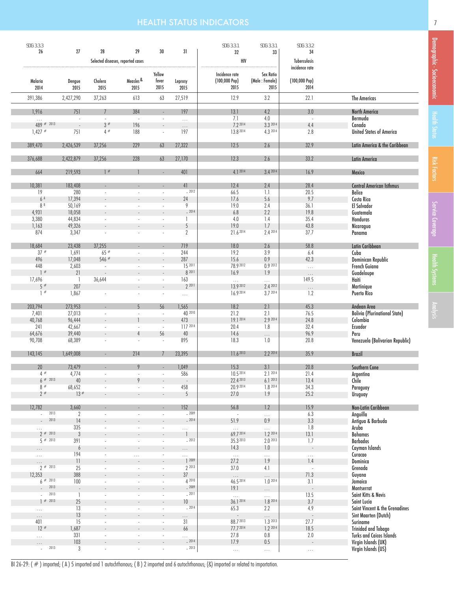# **HEALTH STATUS INDICATORS 7** *CONSERVERS 1999 <b>7 T*

| SDG: 3.3.3                |                          |                                   |                                    |                          |                         | SDG: 3.3.1                        | SDG: 3.3.1                  | SDG: 3.3.2                      |                                                        |
|---------------------------|--------------------------|-----------------------------------|------------------------------------|--------------------------|-------------------------|-----------------------------------|-----------------------------|---------------------------------|--------------------------------------------------------|
| 26                        | 27                       | 28                                | 29                                 | 30                       | 31                      | 32                                | 33                          | 34                              |                                                        |
|                           |                          | Selected diseases, reported cases |                                    |                          |                         | HIV                               |                             | Tuberculosis                    |                                                        |
|                           |                          |                                   |                                    |                          |                         |                                   |                             | incidence rate                  |                                                        |
| Malaria                   | Dengue                   | Cholera                           | Measles <sup>&amp;</sup>           | Yellow<br>fever          | Leprosy                 | Incidence rate<br>$(100,000$ Pop) | Sex Ratio<br>(Male: Female) | $(100,000$ Pop)                 |                                                        |
| 2014                      | 2015                     | 2015                              | 2015                               | 2015                     | 2015                    | 2015                              | 2015                        | 2014                            |                                                        |
| 391,386                   | 2,427,290                | 37,263                            | 613                                | 63                       | 27,519                  | 12.9                              | 3.2                         | 22.1                            | <b>The Americas</b>                                    |
|                           |                          |                                   |                                    |                          |                         |                                   |                             |                                 |                                                        |
| 1,916                     | 751                      | $\overline{7}$                    | 384                                | ÷.                       | 197                     | 13.1                              | 4.2                         | 3.0                             | <b>North America</b>                                   |
| $\ldots$<br>$489$ # 2013  |                          | $\omega$                          | $\sim$                             | $\overline{\phantom{a}}$ | $\ldots$                | 7.1                               | 4.0                         | $\sim$                          | Bermuda                                                |
| $1,427$ #                 | 751                      | 3#<br>4#                          | 196<br>188                         | $\sim$                   | $\ldots$<br>197         | 7.2 2014<br>13.8 2014             | 3.3 2014<br>4.3 2014        | 4.4<br>2.8                      | Canada<br><b>United States of America</b>              |
|                           |                          |                                   |                                    |                          |                         |                                   |                             |                                 |                                                        |
| 389,470                   | 2,426,539                | 37,256                            | 229                                | 63                       | 27,322                  | 12.5                              | 2.6                         | 32.9                            | Latin America & the Caribbean                          |
|                           |                          |                                   |                                    |                          |                         |                                   |                             |                                 |                                                        |
| 376,688                   | 2,422,879                | 37,256                            | 228                                | 63                       | 27,170                  | 12.3                              | 2.6                         | 33.2                            | <b>Latin America</b>                                   |
| 664                       | 219,593                  | 1#                                |                                    |                          | 401                     | 4.1 2014                          | 3.4 2014                    | 16.9                            | Mexico                                                 |
|                           |                          |                                   |                                    |                          |                         |                                   |                             |                                 |                                                        |
| 10,381                    | 183,408                  |                                   |                                    |                          | 41<br>$-2012$           | 12.4                              | 2.4                         | 28.4                            | <b>Central American Isthmus</b>                        |
| 19<br>6 <sup>A</sup>      | 280<br>17,394            |                                   |                                    |                          | 24                      | 66.5<br>17.6                      | 1.1<br>5.6                  | 20.5<br>9.7                     | Belice<br>Costa Rica                                   |
| 8B                        | 50,169                   |                                   |                                    | $\sim$                   | 9                       | 19.0                              | 2.4                         | 36.1                            | El Salvador                                            |
| 4,931                     | 18,058                   |                                   |                                    |                          | $-2014$                 | 6.8                               | 2.2                         | 19.8                            | Guatemala                                              |
| 3,380                     | 44,834                   |                                   |                                    |                          | 1                       | 4.0                               | 1.4                         | 35.4                            | Honduras                                               |
| 1,163                     | 49,326                   |                                   |                                    |                          | 5                       | 19.0                              | 1.7                         | 43.8                            | Nicaragua                                              |
| 874                       | 3,347                    |                                   | $\sim$                             | $\overline{\phantom{a}}$ | $\overline{2}$          | 21.62014                          | 2.4 2014                    | 37.7                            | Panama                                                 |
|                           |                          |                                   |                                    |                          |                         |                                   |                             |                                 |                                                        |
| 18,684                    | 23,438                   | 37,255                            |                                    |                          | 719                     | 18.0                              | 2.6                         | 58.8                            | Latin Caribbean                                        |
| $37$ #                    | 1,691                    | $65$ #                            | ×.                                 | $\overline{\phantom{a}}$ | 244                     | 19.2                              | 3.9                         | 6.4                             | Cuba                                                   |
| 496                       | 17,048                   | 546#                              |                                    |                          | 287                     | 15.6                              | 0.9                         | 42.3                            | Dominican Republic                                     |
| 448<br>$\vert$ #          | 2,603<br>21              | $\overline{\phantom{a}}$          | $\overline{\phantom{a}}$           | $\overline{\phantom{a}}$ | 15 2011<br>8 2011       | 78.9 2012<br>16.9                 | 0.9 2012<br>$1.9$           | $\bar{\tau}$ , $\bar{\tau}$     | French Guiana<br>Guadeloupe                            |
| 17,696                    | - 1                      | 36,644                            |                                    | $\overline{\phantom{a}}$ | 163                     | $\bar{\mathcal{L}}$ .             | 22                          | $\ldots$<br>149.5               | Haiti                                                  |
| 5#                        | 207                      |                                   |                                    |                          | 2 2011                  | 13.9 2012                         | 2.4 2012                    | $\cdots$                        | Martinique                                             |
| $\vert$ #                 | 1,867                    |                                   |                                    | ÷,                       | $\ldots$                | 16.92014                          | 3.7 2014                    | 1.2                             | <b>Puerto Rico</b>                                     |
|                           |                          |                                   |                                    |                          |                         |                                   |                             |                                 |                                                        |
| 203,794                   | 273,953                  |                                   | 5                                  | 56                       | 1,565                   | 18.2                              | 2.1                         | 45.3                            | Andean Area                                            |
| 7,401                     | 27,013                   |                                   |                                    | ×.                       | 40 2010                 | 21.2                              | 2.1                         | 76.5                            | <b>Bolivia (Plurinational State)</b>                   |
| 40,768                    | 96,444                   |                                   |                                    | $\overline{\phantom{a}}$ | 473                     | 19.1 2014                         | 2.9 2014                    | 24.8                            | Colombia                                               |
| 241                       | 42,667                   |                                   |                                    | ÷.                       | 117 2014                | 20.4                              | 1.8                         | 32.4                            | Ecuador                                                |
| 64,676                    | 39,440                   |                                   | 4                                  | 56                       | 40                      | 14.6<br>18.3                      | $\ldots$                    | 96.9                            | Peru                                                   |
| 90,708                    | 68,389                   |                                   |                                    | $\sim$                   | 895                     |                                   | 1.0                         | 20.8                            | Venezuela (Bolivarian Republic)                        |
| 143,145                   | 1,649,008                |                                   | 214                                |                          | 23,395                  | 11.6 2013                         | 2.2 2014                    | 35.9                            | <b>Brazil</b>                                          |
|                           |                          |                                   |                                    |                          |                         |                                   |                             |                                 |                                                        |
| 20                        | 73,479                   |                                   | 9                                  |                          | 1,049                   | 15.3                              | 3.1                         | $20.8$                          | <b>Southern Cone</b>                                   |
| 4#<br>$6$ # 2013          | 4,774                    | $\sim$                            | $\overline{\phantom{a}}$           | $\overline{\phantom{a}}$ | 586                     | $10.5^{2014}$                     | 2.12014                     | 21.4                            | Argentina                                              |
|                           | 40                       |                                   | 9                                  |                          |                         | 22.4 2013<br>20.9 2014            | 6.12013<br>1.8 2014         | 13.4                            | Chile                                                  |
| 8#<br>$2 *$               | 68,652<br>13#            | $\overline{\phantom{a}}$          | ×,<br>$\sim$                       | $\sim$<br>$\sim$         | 458<br>5                | 27.0                              | 1.9                         | 34.3<br>25.2                    | Paraguay<br>Uruguay                                    |
|                           |                          |                                   |                                    |                          |                         |                                   |                             |                                 |                                                        |
| 12,782                    | 3,660                    |                                   | $\sim$                             | $\sim$                   | 152                     | 56.8                              | 1.2                         | 15.9                            | Non-Latin Caribbean                                    |
| 2013<br>÷.                | $\overline{2}$           |                                   | ÷,                                 | ÷,                       | $-2009$                 | $\sim$                            | $\ldots$                    | 6.3                             | Anguilla                                               |
| 2013                      | 14                       |                                   |                                    | $\overline{\phantom{a}}$ | $-2014$                 | 51.9                              | 0.9                         | 3.3                             | Antigua & Barbuda                                      |
| $\cdots$                  | 335                      |                                   |                                    | $\overline{\phantom{a}}$ | $\ldots$                | $\bar{\mathcal{L}}$ .             | $\ldots$                    | 1.8                             | Aruba                                                  |
| $2 * 2013$<br>$5 \# 2013$ | $\mathbf{3}$             |                                   | ÷,                                 | $\overline{\phantom{a}}$ | $\mathbf{1}$<br>$-2012$ | 69.7 2014<br>35.3 2013            | 1.2 2014<br>2.0 2013        | 13.1                            | <b>Bahamas</b>                                         |
|                           | 391<br>6                 |                                   | $\sim$<br>$\overline{\phantom{a}}$ | ×<br>$\frac{1}{2}$       |                         | 14.3                              | 1.0                         | 1.7<br>$\overline{\phantom{a}}$ | <b>Barbados</b><br>Cayman Islands                      |
| $\cdots$<br>$\ldots$      | 194                      | $\overline{\phantom{a}}$          | $\ldots$                           | $\overline{\phantom{a}}$ | $\cdots$<br>$\ldots$    | $\ldots$                          | $\ldots$                    | $\ldots$                        | Curacao                                                |
|                           | $\frac{1}{2}$            |                                   |                                    |                          | ] 2009                  | 27.2                              | 1.9                         | 1.4                             | Dominica                                               |
| $2 * 2013$                | 25                       | $\overline{\phantom{a}}$          | $\overline{\phantom{a}}$           | $\overline{\phantom{a}}$ | 2 2013                  | 37.0                              | 4.1                         | $\overline{\phantom{a}}$        | Grenada                                                |
| 12,353                    | 388                      |                                   |                                    |                          | 37                      | $\ldots$                          | $\cdots$                    | 71.3                            | Guyana                                                 |
| $6$ # 2013                | 100                      | $\overline{\phantom{a}}$          | $\overline{\phantom{a}}$           | $\overline{\phantom{a}}$ | 4 2010                  | 46.5 2014                         | 1.02014                     | 3.1                             | Jamaica                                                |
| 2013                      | $\overline{\phantom{a}}$ |                                   |                                    |                          | $-2009$                 | 19.1                              | $\cdots$                    | $\overline{\phantom{a}}$        | Montserrat                                             |
| 2013                      | $\mathbf{1}$             |                                   | ä,                                 | ÷.                       | $-2011$                 | $\ldots$                          | $\ldots$                    | 13.5                            | Saint Kitts & Nevis                                    |
| $1 \# 2013$               | 25                       |                                   |                                    |                          | 10<br>$-2014$           | 36.1 2014                         | 1.8 2014<br>2.2             | 3.7<br>4.9                      | Saint Lucia                                            |
| $\ldots$                  | 13<br>13                 | $\overline{\phantom{a}}$          | $\overline{\phantom{a}}$           | $\overline{\phantom{a}}$ |                         | 65.3<br>$\overline{\phantom{a}}$  |                             | $\overline{a}$                  | Saint Vincent & the Grenadines<br>Sint Maarten (Dutch) |
| $\cdots$<br>401           | 15                       | $\overline{\phantom{a}}$          | $\overline{\phantom{a}}$           | $\overline{\phantom{a}}$ | .<br>31                 | 88.7 2013                         | $\ldots$<br>1.3 2013        | 27.7                            | Suriname                                               |
| $12 *$                    | 1,687                    |                                   |                                    |                          | 66                      | 77.7 2014                         | 1.2 2014                    | 18.5                            | <b>Trinidad and Tobago</b>                             |
| $\ldots$                  | 331                      |                                   | ×,                                 | $\overline{\phantom{a}}$ | .                       | 27.8                              | $0.8\,$                     | 2.0                             | <b>Turks and Caicos Islands</b>                        |
| .                         | 103                      |                                   | $\overline{a}$                     | ÷                        | $-2014$                 | 17.9                              | $0.5\,$                     | $\overline{a}$                  | Virgin Islands (UK)                                    |
| 2013<br>÷.                | 3                        | $\overline{\phantom{a}}$          | $\overline{\phantom{a}}$           | $\overline{\phantom{a}}$ | $-2013$                 | $\ldots$                          | $\ldots$                    | $\ldots$                        | Virgin Islands (US)                                    |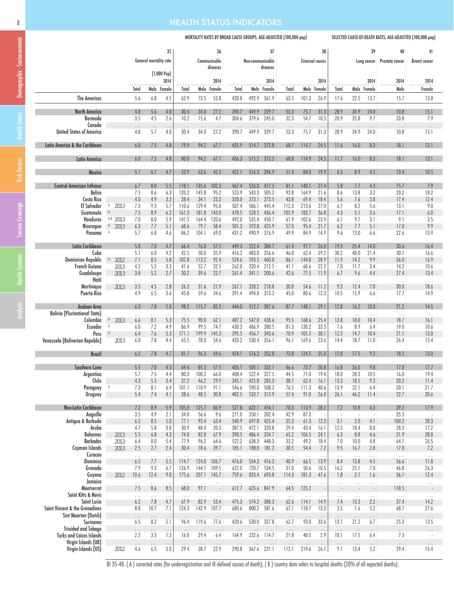## 8 **HEALTH STATUS INDICATORS**

#### MORTALITY RATES BY BROAD CAUSE GROUPS, AGE-ADJUSTED (100,000 pop) SELECTED CAUSE-OF-DEATH RATES, AGE-ADJUSTED (100,000 pop)

|                                                                                                                               |                                                                     |                                                      | General mortality rate                               | 35                                                   |                                                                   |                                                                    | 36<br>Communicable<br>diseases                                  |                                                                      | Non-communicable                                                     | 37<br>diseases                                                       |                                                                |                                                                   | 38<br><b>External causes</b>                                 |                                                      |                                                        | 39<br>Lung cancer                                    | 40<br>Prostate cancer                                       | 41<br><b>Breast cancer</b>                                   |
|-------------------------------------------------------------------------------------------------------------------------------|---------------------------------------------------------------------|------------------------------------------------------|------------------------------------------------------|------------------------------------------------------|-------------------------------------------------------------------|--------------------------------------------------------------------|-----------------------------------------------------------------|----------------------------------------------------------------------|----------------------------------------------------------------------|----------------------------------------------------------------------|----------------------------------------------------------------|-------------------------------------------------------------------|--------------------------------------------------------------|------------------------------------------------------|--------------------------------------------------------|------------------------------------------------------|-------------------------------------------------------------|--------------------------------------------------------------|
|                                                                                                                               |                                                                     |                                                      |                                                      | $(1,000$ Pop)<br>2014<br>Male Female                 |                                                                   |                                                                    | 2014                                                            | Total                                                                |                                                                      | 2014<br>Male Female                                                  | Total                                                          |                                                                   | 2014                                                         |                                                      |                                                        | 2014                                                 | 2014                                                        | 2014                                                         |
| <b>The Americas</b>                                                                                                           |                                                                     | Total<br>5.6                                         | 6.8                                                  | 4.5                                                  | Total<br>62.9                                                     | 73.5                                                               | Male Female<br>53.8                                             | 420.8                                                                | 492.9                                                                | 361.9                                                                | 63.5                                                           | Male<br>101.3                                                     | Female<br>26.9                                               | Total<br>17.6                                        | Male<br>22.5                                           | Female<br>13.7                                       | Male<br>15.7                                                | Female<br>13.8                                               |
| <b>North America</b><br>Bermuda                                                                                               |                                                                     | 4.8<br>3.5                                           | 5.6<br>4.5                                           | 4.0<br>2.6                                           | 30.4<br>10.2                                                      | 34.0<br>15.6                                                       | 27.2<br>4.7                                                     | 390.7<br>304.6                                                       | 449.9<br>379.6                                                       | 339.7<br>245.0                                                       | 53.3<br>32.3                                                   | 75.7<br>54.7                                                      | 31.3<br>10.5                                                 | 28.9<br>20.9                                         | 34.9<br>35.8                                           | 24.0<br>9.7                                          | 10.8<br>33.8                                                | 15.1<br>7.9                                                  |
| Canada<br><b>United States of America</b>                                                                                     |                                                                     | $\cdots$<br>4.8                                      | $\ldots$<br>5.7                                      | $\ldots$<br>4.0                                      | $\ldots$<br>30.4                                                  | $\ldots$<br>34.0                                                   | $\ldots$<br>27.2                                                | $\ldots$<br>390.7                                                    | $\cdots$<br>449.9                                                    | $\ldots$<br>339.7                                                    | $\ldots$<br>53.3                                               | $\cdots$<br>75.7                                                  | $\cdots$<br>31.3                                             | $\cdots$<br>28.9                                     | $\cdots$<br>34.9                                       | $\cdots$<br>24.0                                     | $\ldots$<br>10.8                                            | $\cdots$<br>15.1                                             |
| Latin America & the Caribbean                                                                                                 |                                                                     | 6.0                                                  | 7.5                                                  | 4.8                                                  | 79.9                                                              | 94.2                                                               | 67.7                                                            | 435.9                                                                | 514.7                                                                | 372.8                                                                | 68.7                                                           | 114.7                                                             | 24.5                                                         | 11.6                                                 | 16.0                                                   | 8.3                                                  | 18.1                                                        | 13.1                                                         |
| <b>Latin America</b>                                                                                                          |                                                                     | 6.0                                                  | 7.5                                                  | 4.8                                                  | 80.0                                                              | 94.2                                                               | 67.7                                                            | 436.3                                                                |                                                                      | 515.2 373.2                                                          | 68.8                                                           | 114.9                                                             | 24.5                                                         | 11.7                                                 | 16.0                                                   | 8.3                                                  | 18.1                                                        | 13.1                                                         |
| Mexico                                                                                                                        |                                                                     | 5.7                                                  | 6.7                                                  | 4.7                                                  | 53.9                                                              | 63.6                                                               | 45.3                                                            | 452.1                                                                | 516.3                                                                | 396.9                                                                | 51.4                                                           | 84.0                                                              | 19.9                                                         | 6.5                                                  | 8.9                                                    | 4.5                                                  | 13.4                                                        | 10.5                                                         |
| <b>Central American Isthmus</b><br><b>Belice</b><br>Costa Rica<br>El Salvador<br>Guatemala<br>Honduras<br>Nicaragua<br>Panama | A<br>2013<br>$\mathtt{A}$<br>A,B 2013<br>$A = 2013$<br>$\mathtt{A}$ | 6.7<br>7.5<br>4.0<br>7.3<br>7.5<br>7.0<br>6.3<br>5.7 | 8.0<br>8.6<br>4.9<br>9.3<br>8.9<br>8.0<br>7.7<br>6.8 | 5.5<br>6.3<br>3.2<br>5.7<br>6.2<br>5.9<br>5.1<br>4.6 | 118.1<br>120.2<br>28.4<br>110.6<br>161.3<br>141.5<br>68.6<br>86.2 | 135.6<br>145.8<br>34.1<br>129.4<br>181.8<br>164.4<br>79.7<br>104.1 | 102.3<br>95.2<br>23.3<br>95.0<br>143.0<br>120.6<br>58.4<br>69.0 | 467.4<br>523.9<br>320.0<br>507.4<br>478.5<br>492.0<br>501.3<br>431.2 | 526.0<br>543.3<br>373.1<br>586.1<br>528.5<br>535.4<br>593.8<br>490.9 | 417.5<br>505.3<br>273.5<br>445.4<br>436.4<br>450.7<br>425.9<br>376.9 | 81.1<br>92.8<br>43.8<br>112.3<br>105.9<br>61.9<br>57.0<br>49.9 | 140.1<br>164.9<br>69.4<br>213.6<br>183.7<br>102.6<br>95.4<br>84.9 | 27.4<br>21.6<br>18.4<br>27.0<br>36.8<br>23.9<br>21.7<br>14.9 | 5.8<br>8.6<br>5.6<br>6.7<br>4.3<br>6.1<br>6.2<br>9.6 | 7.7<br>13.8<br>7.6<br>8.2<br>5.1<br>9.7<br>7.7<br>13.0 | 4.3<br>3.2<br>3.8<br>5.6<br>3.6<br>3.1<br>5.1<br>6.6 | 15.7<br>20.2<br>17.4<br>13.1<br>17.1<br>9.1<br>17.0<br>22.6 | 7.9<br>18.2<br>12.4<br>9.0<br>6.0<br>3.5<br>9.9<br>13.9      |
| Latin Caribbean<br>Cuba<br><b>Dominican Republic</b><br>French Guiana<br>Guadeloupe<br>Haiti                                  | 2012<br>2013<br>2013                                                | 5.8<br>5.1<br>7.1<br>4.2<br>3.8<br>$\cdots$          | 7.0<br>6.0<br>8.5<br>5.2<br>5.2<br>$\cdots$          | 4.7<br>4.2<br>5.8<br>3.3<br>2.7<br>$\cdots$          | 66.4<br>42.5<br>102.8<br>41.6<br>30.2<br>$\sim$                   | 76.0<br>50.0<br>113.2<br>52.7<br>39.6<br>$\ddotsc$                 | 57.5<br>35.9<br>92.4<br>32.5<br>22.7<br>$\ddotsc$               | 449.3<br>416.2<br>524.6<br>262.0<br>261.4<br>$\ddotsc$               | 522.4<br>483.0<br>593.5<br>320.4<br>341.1<br>$\sim$                  | 384.7<br>356.6<br>460.0<br>212.5<br>200.6<br>$\ldots$                | 61.4<br>46.0<br>86.1<br>41.1<br>42.6<br>$\cdots$               | 97.7<br>62.4<br>144.8<br>60.6<br>77.5<br>$\ldots$                 | 26.0<br>29.2<br>28.9<br>22.2<br>11.9<br>$\cdots$             | 19.3<br>30.2<br>11.9<br>7.0<br>6.7<br>$\ldots$       | 25.4<br>40.0<br>14.2<br>11.7<br>9.6<br>$\cdots$        | 14.0<br>21.4<br>9.9<br>3.4<br>4.4<br>$\cdots$        | 30.6<br>30.1<br>36.0<br>14.2<br>27.4<br>$\ldots$            | 16.4<br>16.6<br>16.9<br>10.6<br>13.4<br>$\sim$ $\sim$ $\sim$ |
| Martinique<br><b>Puerto Rico</b>                                                                                              | 2013                                                                | 3.5<br>4.9                                           | 4.5<br>6.5                                           | 2.8<br>3.6                                           | 26.3<br>45.8                                                      | 31.6<br>59.6                                                       | 21.9<br>34.6                                                    | 267.1<br>391.4                                                       | 328.2<br>494.8                                                       | 218.8<br>313.3                                                       | 30.8<br>45.0                                                   | 54.6<br>80.6                                                      | 11.2<br>12.3                                                 | 9.3<br>10.5                                          | 12.4<br>15.9                                           | 7.0<br>6.6                                           | 30.0<br>17.7                                                | 18.6<br>14.9                                                 |
| Andean Area<br><b>Bolivia (Plurinational State)</b><br>Colombia<br><b>Ecuador</b><br>Peru<br>Venezuela (Bolivarian Republic)  | $A = 2013$<br>A<br>A<br>2013                                        | 6.3<br>.<br>6.6<br>6.0<br>6.4<br>6.0                 | 7.8<br>8.1<br>7.2<br>7.6<br>7.8                      | 5.0<br>$\ddotsc$<br>5.3<br>4.9<br>5.3<br>4.4         | 98.2<br>75.5<br>86.9<br>171.1<br>65.5                             | 115.7<br>$\cdots$<br>90.0<br>99.5<br>199.9<br>78.0                 | 82.3<br>$\cdots$<br>62.1<br>74.7<br>145.3<br>54.6               | 444.0<br>$\cdots$<br>487.2<br>430.3<br>395.5<br>433.2                | 512.7<br>547.0<br>486.9<br>456.7<br>530.4                            | 387.6<br>438.6<br>380.5<br>343.6<br>356.1                            | 87.7<br>$\ldots$<br>95.5<br>81.3<br>70.9<br>96.1               | 148.1<br>$\sim$ .<br>168.6<br>130.2<br>105.3<br>169.6             | 29.1<br>25.4<br>33.5<br>38.1<br>23.6                         | 12.8<br>$\cdots$<br>13.8<br>7.6<br>12.3<br>14.4      | 16.2<br>$\ldots$<br>18.0<br>8.9<br>14.7<br>18.7        | 10.0<br>$\cdots$<br>10.4<br>6.4<br>10.4<br>11.0      | 21.2<br>$\ldots$<br>18.7<br>19.0<br>21.1<br>26.4            | 14.5<br>$\cdots$<br>16.1<br>10.6<br>13.0<br>15.4             |
| <b>Brazil</b>                                                                                                                 |                                                                     | 6.2                                                  | 7.8                                                  | 4.7                                                  | 81.7                                                              | 96.3                                                               | 69.6                                                            | 424.1                                                                | 516.2                                                                | 352.8                                                                | 73.8                                                           | 124.5                                                             | 25.0                                                         | 12.8                                                 | 17.5                                                   | 9.3                                                  | 18.2                                                        | 13.0                                                         |
| <b>Southern Cone</b><br>Argentina<br>Chile<br>Paraguay<br>Uruguay                                                             | A                                                                   | 5.5<br>5.1<br>4.3<br>7.3<br>5.4                      | 7.0<br>1.5<br>5.5<br>8.1<br>7.4                      | 4.3<br>4.4<br>3.4<br>6.4<br>4.1                      | 69.4<br>80.3<br>37.2<br>101.1<br>38.6                             | 85.3<br>100.3<br>46.2<br>110.9<br>48.5                             | 57.5<br>66.0<br>29.9<br>91.1<br>30.8                            | 405.1<br>408.4<br>345.1<br>546.6<br>402.5                            | 505.1<br>522.4<br>425.8<br>590.0<br>533.7                            | 332.1<br>32/.5<br>283.3<br>508.3<br>313.9                            | 46.6<br>44.5<br>38.7<br>76.5<br>57.4                           | 73.7<br>/1.0<br>62.4<br>111.3<br>91.0                             | 20.8<br>19.4<br>16.1<br>40.6<br>26.0                         | 16.8<br>18.0<br>13.3<br>13.9<br>26.1                 | 26.0<br>28.3<br>18.5<br>22.1<br>46.2                   | 9.8<br>10.5<br>9.3<br>6.4<br>11.4                    | 17.8<br>16.0<br>20.2<br>20.1<br>22.7                        | 17.7<br>19.4<br>11.4<br>21.7<br>20.6                         |
| Non-Latin Caribbean<br>Anguilla                                                                                               |                                                                     | 7.2<br>3.5                                           | 8.9<br>4.9                                           | 5.9<br>2.1                                           | 105.0<br>34.0                                                     | 125.7<br>56.6                                                      | 86.9<br>9.6                                                     | 527.8<br>271.0                                                       | 622.1<br>350.1                                                       | 454.1<br>202.4                                                       | 70.3<br>42.9                                                   | 113.9<br>87.3                                                     | 28.2<br>÷,                                                   | 7.2<br>$\sim$                                        | 10.8<br>÷,                                             | 4.3<br>÷,                                            | 39.2<br>35.3                                                | 17.9                                                         |
| Antigua & Barbuda<br>Aruba<br>Bahamas<br><b>Barbados</b><br>Cayman Islands<br>Curacao                                         | 2013<br>2013<br>2013                                                | 6.5<br>4.7<br>5.5<br>6.4<br>2.5<br>.                 | 8.5<br>5.8<br>6.8<br>8.0<br>2.7<br>$\ldots$          | 5.0<br>3.8<br>4.3<br>5.4<br>2.4<br>$\ldots$          | 77.1<br>30.9<br>74.8<br>77.9<br>30.4<br>$\ldots$                  | 93.4<br>48.4<br>82.8<br>96.2<br>18.6<br>$\ldots$                   | 63.4<br>20.3<br>67.9<br>64.6<br>39.7<br>$\ldots$                | 540.9<br>387.5<br>398.5<br>522.2<br>185.1<br>$\ldots$                | 697.8<br>472.1<br>486.4<br>638.3<br>188.0<br>$\ldots$                | 425.4<br>320.8<br>334.7<br>448.3<br>181.2<br>$\ldots$                | 35.3<br>29.4<br>65.2<br>33.2<br>30.5<br>$\ldots$               | 61.3<br>43.4<br>106.5<br>49.2<br>54.4<br>$\ldots$                 | 12.3<br>16.1<br>24.1<br>18.4<br>7.2<br>$\ldots$              | 3.1<br>12.5<br>6.3<br>7.0<br>9.5<br>$\ldots$         | 2.0<br>18.4<br>8.8<br>10.0<br>16.7<br>$\ldots$         | 4.1<br>8.0<br>4.6<br>4.8<br>2.8<br>$\cdots$          | 100.2<br>28.3<br>31.9<br>64.7<br>17.0<br>$\ldots$           | 28.3<br>17.2<br>28.8<br>26.5<br>7.2<br>$\dots$               |
| Dominica<br>Grenada<br>Guyana<br>Jamaica                                                                                      | 2012                                                                | 6.5<br>7.9<br>10.6<br>$\ldots$                       | 7.7<br>9.3<br>12.4<br>$\ldots$                       | 5.5<br>6.7<br>9.0<br>$\ldots$                        | 114.7<br>126.9<br>175.6<br>$\cdots$                               | 124.0<br>144.1<br>207.1<br>$\ldots$                                | 106.7<br>109.5<br>145.7<br>$\ldots$                             | 476.0<br>622.0<br>759.6<br>$\sim$                                    | 554.3<br>720.7<br>833.4<br>$\ldots$                                  | 416.3<br>534.5<br>693.8<br>$\ldots$                                  | 40.9<br>31.0<br>114.3<br>$\ldots$                              | 66.5<br>50.6<br>181.3<br>$\ldots$                                 | 13.9<br>10.5<br>47.6<br>$\ldots$                             | 8.4<br>16.2<br>1.8<br>$\ldots$                       | 13.8<br>25.1<br>2.1<br>$\ldots$                        | 4.5<br>7.0<br>1.6<br>$\ldots$                        | 56.6<br>46.8<br>36.1<br>$\bar{\tau}$ , $\bar{\tau}$         | 11.8<br>26.3<br>12.4<br>$\ldots$                             |
| Montserrat<br>Saint Kitts & Nevis<br>Saint Lucia<br>Saint Vincent & the Grenadines                                            |                                                                     | 7.5<br>22<br>6.2                                     | 8.6<br>$\ldots$<br>7.8<br>10.7                       | 8.5<br>$\ldots$<br>4.7                               | 68.0<br>$\ldots$<br>67.9                                          | 97.1<br>$\ldots$<br>82.9                                           | $\ldots$<br>53.4                                                | 612.7<br>$\ldots$<br>475.3                                           | 635.6<br>$\ddotsc$<br>574.2                                          | 847.9<br>$\ldots$<br>388.3                                           | 64.5<br>$\ldots$<br>62.6                                       | 125.2<br>$\ldots$<br>114.1                                        | $\ldots$<br>14.9                                             | $\overline{\phantom{a}}$<br>$\ldots$<br>7.4<br>3.5   | $\overline{\phantom{a}}$<br>$\ldots$<br>13.3<br>1.6    | $\cdots$<br>2.2                                      | 118.5<br>$\ldots$<br>37.4                                   | $\ldots$<br>14.2                                             |
| Sint Maarten (Dutch)<br>Suriname                                                                                              |                                                                     | 8.8<br>$\cdots$<br>6.5                               | $\ldots$<br>8.2                                      | 7.1<br>$\ldots$<br>5.1                               | 124.3<br>$\ldots$<br>96.4                                         | 142.9<br>$\ldots$<br>119.6                                         | 107.7<br>$\ldots$<br>77.6                                       | 680.6<br>$\ldots$<br>420.6                                           | 800.2<br>$\cdots$<br>530.0                                           | 581.6<br>$\ldots$<br>337.8                                           | 67.1<br>$\ldots$<br>62.7                                       | 118.7<br>$\ldots$<br>93.0                                         | 13.3<br>$\ldots$<br>33.6                                     | $\ldots$<br>13.1                                     | $\cdots$<br>21.2                                       | 5.2<br>$\cdots$<br>6.7                               | 68.7<br>$\ldots$<br>25.3                                    | 27.6<br>$\ldots$<br>13.5                                     |
| <b>Trinidad and Tobago</b><br><b>Turks and Caicos Islands</b><br>Virgin Islands (UK)                                          |                                                                     | $\ldots$<br>2.2<br>$\cdots$                          | $\cdots$<br>3.3<br>$\ldots$                          | $\cdots$<br>1.3<br>$\ldots$                          | $\ldots$<br>16.0<br>$\ldots$                                      | $\ldots$<br>29.4<br>$\ldots$                                       | $\ldots$<br>6.4<br>$\ldots$                                     | $\ldots$<br>164.9<br>$\ldots$                                        | $\cdots$<br>232.6<br>$\ldots$                                        | $\ldots$<br>114.7<br>$\ldots$                                        | $\ldots$<br>21.8<br>$\cdots$                                   | $\ldots$<br>40.5<br>$\cdots$                                      | $\cdots$<br>2.9<br>$\ldots$                                  | $\cdots$<br>10.1<br>$\ldots$                         | $\ldots$<br>17.5<br>$\ldots$                           | $\cdots$<br>6.4<br>$\cdots$                          | $\cdots$<br>7.3<br>$\ldots$                                 | .<br>$\ldots$                                                |
| Virgin Islands (US)                                                                                                           | 2012                                                                | 4.6                                                  | 6.5                                                  | 3.0                                                  | 29.4                                                              | 38.7                                                               | 22.9                                                            | 290.8                                                                |                                                                      | 367.6 231.1                                                          | 112.1                                                          | 219.6                                                             | 26.1                                                         | 9.1                                                  | 13.4                                                   | 5.2                                                  | 29.4                                                        | 15.4                                                         |

BI 35-48: (A) corrected rates (for underregistration and ill-defined causes of death); (B) country data refers to hospital deaths (20% of all expected deaths).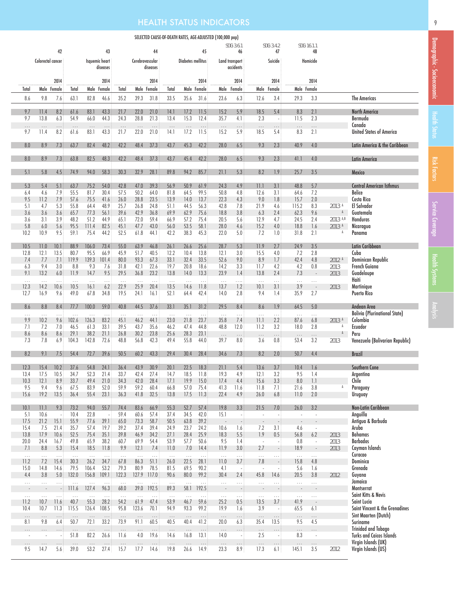# HEALTH STATUS INDICATORS

|                                      |                               |                  |                   |                   |                                  |                                     |                  |                   |                  |                   |                   | SELECTED CAUSE-OF-DEATH RATES, AGE-ADJUSTED (100,000 pop) |                                      |                                      |                    |                                      |                                 |                             |                                                        |
|--------------------------------------|-------------------------------|------------------|-------------------|-------------------|----------------------------------|-------------------------------------|------------------|-------------------|------------------|-------------------|-------------------|-----------------------------------------------------------|--------------------------------------|--------------------------------------|--------------------|--------------------------------------|---------------------------------|-----------------------------|--------------------------------------------------------|
|                                      |                               |                  |                   |                   |                                  |                                     |                  |                   |                  |                   |                   |                                                           | SDG: 3.6.1                           |                                      | SDG: 3.4.2         |                                      | SDG: 16.1.1                     |                             |                                                        |
|                                      | Colorectal cancer             | 42               |                   |                   | 43<br>Isquemic heart<br>diseases |                                     | Cerebrovascular  | 44<br>diseases    |                  | Diabetes mellitus | 45                |                                                           | 46<br>Land transport<br>accidents    |                                      | 47<br>Suicide      |                                      | 48<br>Homicide                  |                             |                                                        |
|                                      |                               | 2014             |                   |                   | 2014                             |                                     |                  | 2014              |                  |                   | 2014              |                                                           | 2014                                 |                                      | 2014               |                                      | 2014                            |                             |                                                        |
| Total                                |                               | Male Female      | Total             |                   | Male Female                      | Total                               |                  | Male Female       | Total            |                   | Male Female       |                                                           | Male Female                          |                                      | Male Female        |                                      | Male Female                     |                             |                                                        |
| 8.6                                  | 9.8                           | 7.6              | 63.1              | 82.8              | 46.6                             | 35.2                                | 39.3             | 31.8              | 33.5             | 35.6              | 31.6              | 23.6                                                      | 6.3                                  | 12.6                                 | 3.4                | 29.3                                 | 3.3                             |                             | <b>The Americas</b>                                    |
| 9.7                                  | 11.4                          | 8.2              | 61.6              | 83.1              | 43.3                             | 21.7                                | 22.0             | 21.0              | 14.1             | 17.2              | 11.5              | 15.2                                                      | 5.9                                  | 18.5                                 | 5.4                | 8.3                                  | 2.1                             |                             | <b>North America</b>                                   |
| 9.7<br>$\ldots$                      | 13.8<br>$\ldots$              | 6.3<br>$\ldots$  | 54.9<br>$\ldots$  | 66.0<br>$\ldots$  | 44.3<br>$\ldots$                 | 24.3<br>$\ldots$                    | 28.8<br>$\ldots$ | 21.3<br>$\dots$   | 13.4<br>$\ldots$ | 15.3<br>$\ldots$  | 12.4<br>$\ldots$  | 35.7<br>$\ldots$                                          | 4.1<br>$\ldots$                      | 2.3<br>$\ldots$                      | $\sim$<br>$\ldots$ | 11.5<br>$\ldots$                     | 2.3<br>$\cdots$                 |                             | Bermuda<br>Canada                                      |
| 9.7                                  | 11.4                          | 8.2              | 61.6              | 83.1              | 43.3                             | 21.7                                | 22.0             | 21.0              | 14.1             | 17.2              | 11.5              | 15.2                                                      | 5.9                                  | 18.5                                 | 5.4                | 8.3                                  | 2.1                             |                             | <b>United States of America</b>                        |
| 8.0                                  | 8.9                           | 7.3              | 63.7              | 82.4              | 48.2                             | 42.2                                | 48.4             | 37.3              | 43.7             | 45.3              | 42.2              | 28.0                                                      | 6.5                                  | 9.3                                  | 2.3                | 40.9                                 | 4.0                             |                             | Latin America & the Caribbean                          |
| 8.0                                  | 8.9                           | 7.3              | 63.8              | 82.5              | 48.3                             | 42.2                                | 48.4             | 37.3              | 43.7             | 45.4              | 42.2              | 28.0                                                      | 6.5                                  | 9.3                                  | 2.3                | 41.1                                 | 4.0                             |                             | <b>Latin America</b>                                   |
| 5.1                                  | 5.8                           | 4.5              | 74.9              | 94.0              | 58.3                             | 30.3                                | 32.9             | 28.1              | 89.8             | 94.2              | 85.7              | 21.1                                                      | 5.3                                  | 8.2                                  | 1.9                | 25.7                                 | 3.5                             |                             | Mexico                                                 |
| 5.3                                  | 5.4                           | 5.1              | 63.7              | 75.2              | 54.0                             | 42.8                                | 47.0             | 39.3              | 56.9             | 50.9              | 61.9              | 24.3                                                      | 4.9                                  | 11.1                                 | 3.1                | 48.8                                 | 5.7                             |                             | Central American Isthmus                               |
| 6.4                                  | 4.6                           | 7.9              | 55.5              | 81.7              | 30.4                             | 57.5                                | 50.2             | 64.0              | 81.8             | 64.5              | 99.5              | 50.8                                                      | $4.8\,$                              | 12.6                                 | 3.1                | 64.6                                 | 7.2                             |                             | <b>Belice</b>                                          |
| 9.5<br>5.1                           | 11.2<br>4.7                   | 7.9<br>5.3       | 57.6<br>55.8      | 75.5<br>64.4      | 41.6<br>48.9                     | 26.0                                | 28.8<br>26.8     | 23.5<br>24.8      | 13.9<br>51.1     | 14.0<br>44.5      | 13.7              | 22.3<br>42.8                                              | 4.3                                  | 9.0                                  | 1.8<br>4.6         | 15.7<br>115.2                        | 2.0                             |                             | Costa Rica<br>El Salvador                              |
| 3.6                                  | 3.6                           | 3.6              | 65.7              | 77.3              | 56.1                             | 25.7<br>39.6                        | 42.9             | 36.8              | 69.9             | 62.9              | 56.3<br>75.6      | 18.8                                                      | 7.8<br>$3.8\,$                       | 21.9<br>6.3                          | 2.4                | 62.3                                 | 8.3<br>9.6                      | 2013 <sup>A</sup><br>$\,$ A | Guatemala                                              |
| 3.6                                  | 3.1                           | 3.9              | 48.2              | 51.2              | 44.9                             | 65.1                                | 72.0             | 59.4              | 66.9             | 57.2              | 75.4              | 20.5                                                      | 5.6                                  | 12.9                                 | 4.7                | 24.5                                 | 2.4                             | $2013$ A,B                  | <b>Honduras</b>                                        |
| 5.8                                  | 6.0                           | 5.6              | 95.5              | 111.4             | 82.5                             | 45.1                                | 47.7             | 43.0              | 56.0             | 53.5              | 58.1              | 28.0                                                      | 4.6                                  | 15.2                                 | $4.0\,$            | 18.8                                 | 1.6                             | 2013 A                      | Nicaragua                                              |
| 10.2                                 | 10.9                          | 9.5              | 59.1              | 75.4              | 44.2                             | 52.5                                | 61.8             | 44.1              | 42.2             | 38.3              | 45.3              | 22.0                                                      | 5.0                                  | 7.2                                  | 1.0                | 31.8                                 | 2.1                             | A                           | Panama                                                 |
| 10.5                                 | 11.0                          | 10.1             | 88.9              | 106.0             | 73.4                             | 55.0                                | 63.9             | 46.8              | 26.1             | 26.6              | 25.6              | 28.7                                                      | 5.3                                  | 11.9                                 | 2.7                | 24.9                                 | 3.5                             |                             | Latin Caribbean                                        |
| 12.8                                 | 12.1                          | 13.5             | 80.7              | 95.5              | 66.9                             | 45.9                                | 51.7             | 40.5              | 12.2             | 10.4              | 13.8              | 12.1                                                      | 3.0                                  | 15.5                                 | 4.0                | 7.2                                  | 2.8                             |                             | Cuba                                                   |
| 7.4                                  | 7.7                           | 7.1              | 119.9             | 139.3             | 101.4                            | 80.0                                | 93.3             | 67.3              | 33.1             | 32.4              | 33.5              | 52.6                                                      | 9.0                                  | 8.9                                  | 1.7                | 42.4                                 | 4.8                             | 2012 <sup>A</sup>           | Dominican Republic                                     |
| 6.3                                  | 9.4                           | 3.0              | 8.8               | 9.3               | 7.6                              | 31.8                                | 42.1             | 22.6              | 19.7             | 20.8              | 18.6              | 14.2                                                      | 3.3                                  | 11.7                                 | 4.2                | 4.2                                  | 0.8                             | 2013                        | <b>French Guiana</b>                                   |
| 9.1                                  | 13.2                          | 6.0              | 11.9              | 14.7              | 9.5                              | 29.5                                | 36.8             | 23.2              | 13.8             | 14.0              | 13.3              | 23.9                                                      | 1.4                                  | 13.8                                 | 2.4                | 7.3                                  | $\overline{\phantom{a}}$        | 2013                        | Guadeloupe                                             |
| $\cdots$                             | $\ldots$                      | $\ldots$         | $\ldots$          | $\ldots$          | $\ddotsc$                        | $\ldots$                            | $\ldots$         | $\ldots$          | $\ldots$         | $\ldots$          | $\ldots$          | $\ldots$                                                  | .                                    | $\ldots$                             | .                  | $\ldots$                             | $\ldots$                        |                             | Haiti                                                  |
| 12.3<br>12.7                         | 14.2<br>16.9                  | 10.6<br>9.6      | 10.5<br>49.0      | 16.1<br>67.8      | 6.2<br>34.8                      | 22.9<br>19.5                        | 25.9<br>24.1     | 20.4<br>16.1      | 13.5<br>52.1     | 14.6<br>64.4      | 11.8<br>42.4      | 13.7<br>14.0                                              | 1.2<br>2.8                           | 10.1<br>9.4                          | 3.1<br>1.4         | 3.9<br>35.9                          | $\overline{\phantom{a}}$<br>2.7 | 2013                        | Martinique<br><b>Puerto Rico</b>                       |
| 8.6<br>$\ldots$                      | 8.8<br>.                      | 8.4<br>.         | 77.7<br>$\ldots$  | 100.0<br>$\ldots$ | 59.0<br>$\ldots$                 | 40.8<br>$\ldots$                    | 44.5<br>$\ldots$ | 37.6<br>$\cdots$  | 33.1<br>$\ldots$ | 35.1<br>$\ldots$  | 31.2<br>$\ldots$  | 29.5<br>$\ldots$                                          | 8.4<br>$\ldots$                      | 8.6<br>$\ldots$                      | 1.9<br>.           | 64.5<br>$\ldots$                     | 5.0<br>$\ldots$                 |                             | Andean Area<br><b>Bolivia (Plurinational State)</b>    |
| 9.9                                  | 10.2                          | 9.6              | 102.6             | 126.3             | 83.2                             | 45.1                                | 46.2             | 44.1              | 23.0             | 21.8              | 23.7              | 35.8                                                      | 7.4                                  | 11.1                                 | 2.2                | 87.6                                 | 6.8                             | 2013 <sup>A</sup>           | Colombia                                               |
| 7.1                                  | 7.2                           | 7.0              | 46.5              | 61.3              | 33.1                             | 39.5                                | 43.7             | 35.6              | 46.2             | 47.4              | 44.8              | 48.8                                                      | 12.0                                 | 11.2                                 | 3.2                | 18.0                                 | 2.8                             | $\,\mathbb{A}$              | Ecuador                                                |
| 8.6                                  | 8.6                           | 8.6              | 29.1              | 38.2              | 21.1                             | 26.8                                | 30.2             | 23.8              | 25.6             | 28.3              | 23.1              | $\dots$                                                   | $\ldots$                             | $\ldots$                             | $\ldots$           | $\ldots$                             | $\ldots$                        | A                           | Peru                                                   |
| 7.3                                  | 7.8                           | 6.9              | 104.3             | 142.8             | 72.6                             | 48.8                                | 56.8             | 42.3              | 49.4             | 55.8              | 44.0              | 39.7                                                      | 8.0                                  | 3.6                                  | 0.8                | 53.4                                 | 3.2                             | 2013                        | Venezuela (Bolivarian Republic)                        |
| 8.2                                  | 9.1                           | 7.5              | 54.4              | 72.7              | 39.6                             | 50.5                                | 60.2             | 43.3              | 29.4             | 30.4              | 28.4              | 34.6                                                      | 7.3                                  | 8.2                                  | 2.0                | 50.7                                 | 4.4                             |                             | <b>Brazil</b>                                          |
| 12.3                                 | 15.4                          | 10.2             | 37.6              | 54.8              | 24.1                             | 36.4                                | 43.9             | 30.9              | 20.1             | 22.5              | 18.3              | 21.1                                                      | 5.4                                  | 13.6                                 | $3.7\,$            | 10.4                                 | 1.6                             |                             | Southern Cone                                          |
| 13.4                                 | 17.5                          | 10.5             | 34.7              | 52.3              | 21.4                             | 33.7                                | 42.4             | 27.4              | 14.7             | 18.5              | 11.8              | 19.3                                                      | 4.9                                  | 12.1                                 | 3.2                | 9.5                                  | 1.4                             |                             | Argentina                                              |
| 10.3                                 | 12.1                          | 8.9              | 33.7              | 49.4              | 21.0                             | 34.3                                | 42.0             | 28.4              | 17.1             | 19.9              | 15.0              | 17.4                                                      | 4.4                                  | 15.6                                 | 3.3                | 8.0                                  | 1.1                             |                             | Chile                                                  |
| 9.5                                  | 9.4                           | 9.6              | 67.5              | 83.9              | 52.0                             | 59.9                                | 59.2             | 60.4              | 66.8             | 57.0              | 75.4              | 41.3                                                      | 11.6                                 | 11.8                                 | 7.1                | 21.6                                 | 3.8                             | A                           | Paraguay                                               |
| 15.6                                 | 19.2                          | 13.5             | 36.4              | 55.4              | 23.1                             | 36.3                                | 41.8             | 32.5              | 13.8             | 17.5              | 11.3              | 22.4                                                      | 4.9                                  | 26.0                                 | 6.8                | 11.0                                 | 2.0                             |                             | Uruguay                                                |
|                                      |                               |                  |                   |                   |                                  |                                     |                  |                   |                  |                   |                   |                                                           |                                      |                                      |                    |                                      |                                 |                             |                                                        |
| 10.1                                 | 11.1                          | 9.3              | 73.2              | 94.0              | 55.7                             | 74.4                                | 83.6             | 66.9              | 55.3             | 52.7              | 57.4              | 19.8                                                      | 3.3                                  | 21.5                                 | 7.0                | 26.0                                 | 3.2                             |                             | Non-Latin Caribbean                                    |
| 5.1                                  | 10.6                          |                  | 10.4              | 22.8              | $\sim$                           | 59.4                                | 60.6             | 57.4              | 37.4             | 34.5              | 42.0              | 15.1                                                      | $\sim$                               | $\sim$                               | $\sim$             | $\omega$                             | $\sim$                          |                             | Anguilla                                               |
| 17.5                                 | 21.2                          | 15.1             | 55.9              | 77.6              | 39.1                             | 65.0                                | 73.3             | 58.7              | 50.5             | 63.8              | 39.2              | $\overline{\phantom{a}}$                                  |                                      |                                      |                    |                                      | $\overline{\phantom{a}}$        |                             | Antigua & Barbuda                                      |
| 15.4                                 | 7.5                           | 21.4             | 35.7              | 57.4              | 19.7                             | 39.2                                | 37.4             | 39.4              | 24.9             | 23.7              | 24.2              | 10.6                                                      | 1.6                                  | 7.2                                  | 3.1                | 4.6                                  | $\sim$                          |                             | Aruba                                                  |
| 13.8                                 | 17.9                          | 10.6             | 52.5              | 75.4              | 35.1                             | 39.8                                | 46.9             | 34.2              | 27.1             | 28.4              | 25.9              | 18.3                                                      | 5.5                                  | 1.9                                  | 0.5                | 56.8                                 | 6.2                             | 2013                        | <b>Bahamas</b><br><b>Barbados</b>                      |
| 20.0                                 | 24.4<br>8.8                   | 16.7             | 49.8              | 65.9              | 38.2                             | 60.7<br>9.9                         | 69.9             | 54.4              | 53.9<br>11.0     | 57.7              | 50.6              | 9.5<br>11.9                                               | 1.4<br>3.0                           | $\sim$<br>2.7                        |                    | 0.8<br>18.9                          | $\sim$                          | 2013                        |                                                        |
| 7.1                                  |                               | 5.3              | 15.4              | 18.5              | 11.8                             |                                     | 12.1             | 7.4               |                  | 7.0               | 14.4              |                                                           |                                      |                                      |                    |                                      | $\sim$                          | 2013                        | Cayman Islands                                         |
| $\sim$ .<br>11.2                     | $\ldots$<br>7.2               | $\ldots$<br>15.4 | $\cdots$<br>30.3  | $\ldots$<br>26.2  | $\ldots$<br>34.7                 | $\bar{\tau}$ , $\bar{\tau}$<br>67.8 | $\ldots$<br>86.3 | $\ldots$<br>51.1  | $\ldots$<br>26.0 | $\ldots$<br>22.5  | $\cdots$<br>28.1  | $\ldots$<br>11.0                                          | $\ldots$<br>3.7                      | $\ldots$<br>7.8                      | $\ldots$           | $\ldots$<br>15.8                     | $\ldots$<br>4.8                 |                             | Curacao                                                |
| 15.0                                 | 14.8                          | 14.6             | 79.5              | 106.4             | 53.2                             | 79.3                                | 80.9             | 78.5              | 81.5             | 69.5              | 90.2              | 4.1                                                       |                                      |                                      |                    | 5.6                                  | 1.6                             |                             | Dominica<br>Grenada                                    |
| 4.4                                  | 3.8                           | 5.0              | 132.0             | 156.8             | 109.1                            | 122.3                               | 127.9            | 117.0             | 90.6             | 80.0              | 99.2              | 30.4                                                      | $\overline{\phantom{a}}$<br>2.4      | 45.8                                 | 14.6               | 20.5                                 | 3.8                             | 2012                        | Guyana                                                 |
|                                      |                               |                  |                   |                   |                                  |                                     |                  |                   |                  |                   |                   |                                                           |                                      |                                      |                    |                                      |                                 |                             | Jamaica                                                |
| $\ldots$<br>$\overline{\phantom{a}}$ | .<br>$\overline{\phantom{a}}$ | $\ldots$         | $\ldots$<br>111.6 | $\ldots$<br>127.4 | $\ddotsc$<br>96.3                | $\ddotsc$<br>68.0                   | $\ldots$<br>39.0 | $\ldots$<br>192.5 | $\ldots$<br>89.3 | $\ldots$<br>58.1  | $\ldots$<br>192.5 | $\ldots$<br>$\overline{\phantom{a}}$                      | $\ldots$<br>$\overline{\phantom{a}}$ | $\ldots$<br>$\overline{\phantom{a}}$ | $\ldots$           | $\ldots$<br>$\overline{\phantom{a}}$ | $\ldots$<br>$\sim$              |                             | Montserrat                                             |
| $\ldots$                             | $\ldots$                      | $\ldots$         | $\ldots$          | $\ldots$          | $\ldots$                         | $\ldots$                            | $\ldots$         | $\ldots$          | $\ldots$         | $\ldots$          | $\ldots$          | $\ldots$                                                  | $\ldots$                             | $\ldots$                             | $\ldots$           | $\ldots$                             | $\cdots$                        |                             | Saint Kitts & Nevis                                    |
| 11.2                                 | 10.7                          | 11.6             | 40.7              | 55.3              | 28.2                             | 54.2                                | 61.9             | 47.4              | 53.9             | 46.7              | 59.6              | 25.2                                                      | 0.5                                  | 13.5                                 | 3.7                | 41.9                                 | ÷,                              |                             | Saint Lucia                                            |
| 10.4                                 | 10.7                          | 11.3             | 115.5             | 126.4             | 108.5                            | 95.8                                | 123.6            | 70.1              | 94.9             | 93.3              | 99.2              | 19.9                                                      | 1.6                                  | 3.9                                  | $\sim$             | 65.5                                 | 6.1                             |                             | Saint Vincent & the Grenadines                         |
| $\ldots$<br>8.1                      | $\ldots$<br>9.8               | $\ldots$<br>6.4  | $\ldots$<br>50.7  | $\ldots$<br>72.1  | $\ldots$<br>33.2                 | $\ldots$<br>73.9                    | $\ldots$<br>91.1 | $\ldots$<br>60.5  | $\ldots$<br>40.5 | $\ldots$<br>40.4  | $\ldots$<br>41.2  | $\ldots$<br>20.0                                          | $\ldots$<br>6.3                      | $\ldots$<br>35.4                     | $\ldots$<br>13.5   | .<br>9.5                             | $\ldots$<br>4.5                 |                             | Sint Maarten (Dutch)<br>Suriname                       |
| $\ldots$                             | $\cdots$                      | $\cdots$         | $\ldots$          | $\ldots$          | $\ldots$                         | $\ldots$                            | $\cdots$         | $\ldots$          | $\ldots$         | $\ldots$          | $\ldots$          | $\dots$                                                   | $\ldots$                             | $\ldots$                             | $\ldots$           | $\ldots$                             | $\cdots$                        |                             | <b>Trinidad and Tobago</b>                             |
| ×,<br>$\cdots$                       | ×,<br>$\cdots$                | $\cdots$         | 51.8<br>$\ldots$  | 82.2<br>$\cdots$  | 26.6<br>$\ldots$                 | 11.6<br>$\ldots$                    | 4.0<br>$\ldots$  | 19.6<br>$\ldots$  | 14.6<br>$\ldots$ | 16.8<br>$\ldots$  | 13.1<br>$\ldots$  | 14.0<br>$\dots$                                           | ÷,<br>$\dots$                        | 2.5<br>$\dots$                       | $\sim$<br>$\ldots$ | 8.3<br>$\ldots$                      | $\sim$<br>$\cdots$              |                             | <b>Turks and Caicos Islands</b><br>Virgin Islands (UK) |
| 9.5                                  | 14.7                          | 5.6              | 39.0              | 53.2              | 27.4                             | 15.7                                | 17.7             | 14.6              | 19.8             | 26.6              | 14.9              | 23.3                                                      | 8.9                                  | 17.3                                 | 6.1                | 145.1                                | 3.5                             | 2012                        | Virgin Islands (US)                                    |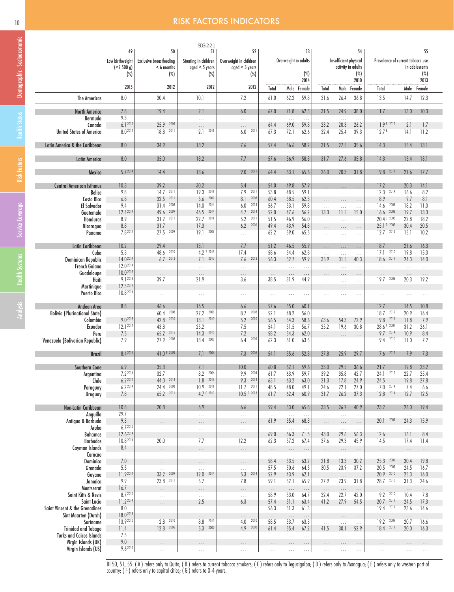## 10 **RISK FACTORS INDICATORS**

|                                                        |                               |                                                | SDG: 2.2.1                               |                                            |                                  |                      |                  |                      |                                             |                      |                                   |                      |                      |
|--------------------------------------------------------|-------------------------------|------------------------------------------------|------------------------------------------|--------------------------------------------|----------------------------------|----------------------|------------------|----------------------|---------------------------------------------|----------------------|-----------------------------------|----------------------|----------------------|
|                                                        | 49                            | 50                                             | 51                                       | 52                                         |                                  |                      | 53               |                      |                                             | 54                   |                                   |                      | 55                   |
|                                                        | Low birthweight<br>(< 2500 g) | <b>Exclusive breastfeeding</b><br>$< 6$ months | Stunting in children<br>$aged < 5$ years | Overweight in children<br>$aged < 5$ years |                                  | Overweight in adults |                  |                      | Insufficient physical<br>activity in adults |                      | Prevalence of current tobacco use |                      | in adolescents       |
|                                                        | $(\%)$                        | (%)                                            | $(\%)$                                   | $(\%)$                                     |                                  |                      | (%)              |                      |                                             | $(\%)$               |                                   |                      | (%)                  |
|                                                        |                               |                                                |                                          |                                            |                                  |                      | 2014             |                      |                                             | 2010                 |                                   |                      | 2013                 |
|                                                        | 2015                          | 2012                                           | 2012                                     | 2012                                       | Total                            | Male Female          |                  | Total                |                                             | Male Female          | Total                             | Male                 | Female               |
| The Americas                                           | 8.0                           | 30.4                                           | 10.1                                     | 7.2                                        | 61.0                             | 62.2                 | 59.8             | 31.6                 | 26.4                                        | 36.8                 | 13.5                              | 14.7                 | 12.3                 |
| <b>North America</b>                                   | 7.8                           | 19.4                                           | 2.1                                      | 6.0                                        | 67.0                             | 71.8                 | 62.3             | 31.5                 | 24.9                                        | 38.0                 | 11.7                              | 13.0                 | 10.3                 |
| Bermuda                                                | 9.3                           | $\ldots$                                       | $\cdots$                                 | $\cdots$                                   | $\sim$                           | $\ldots$             | $\ldots$         | $\ldots$             | $\sim$                                      | $\ldots$             | $\cdots$                          | $\ldots$             | $\ldots$             |
| Canada                                                 | 6.12012                       | 25.9 2009                                      |                                          | .                                          | 64.4                             | 69.0                 | 59.8             | 23.2                 | 20.3                                        | 26.2                 | 7.9B2012                          | 2.1                  | 1.7                  |
| <b>United States of America</b>                        | 8.02014                       | 18.8 2011                                      | $2.1 - 2011$                             | $6.0$ 201                                  | 67.3                             | 72.1                 | 62.6             | 32.4                 | 25.4                                        | 39.3                 | 12.7 <sup>B</sup>                 | 14.1                 | 11.2                 |
| Latin America & the Caribbean                          | 8.0                           | 34.9                                           | 13.2                                     | 7.6                                        | 57.4                             | 56.6                 | 58.2             | 31.5                 | 27.5                                        | 35.6                 | 14.3                              | 15.4                 | 13.1                 |
|                                                        | 8.0                           | 35.0                                           | 13.2                                     | 7.7                                        | 57.6                             | 56.9                 | 58.3             | 31.7                 | 27.6                                        | 35.8                 | 14.3                              | 15.4                 | 13.1                 |
| Latin America                                          |                               |                                                |                                          |                                            |                                  |                      |                  |                      |                                             |                      |                                   |                      |                      |
| Mexico                                                 | 5.72014                       | 14.4                                           | 13.6                                     | 9.0 2011                                   | 64.4                             | 63.1                 | 65.6             | 26.0                 | 20.3                                        | 31.8                 | 19.8 2011                         | 21.6                 | 17.7                 |
| <b>Central American Isthmus</b>                        | 10.3                          | 39.2                                           | 30.2                                     | 5.4                                        | 54.0                             | 49.8                 | 57.9             | $\ldots$             | $\ldots$                                    | $\ldots$             | 17.2                              | 20.3                 | 14.1                 |
| <b>Belice</b>                                          | 9.8                           | $14.7$ 2011                                    | 2011<br>19.3                             | 7.9<br>2011                                | 53.8                             | 48.5                 | 59.1             | .                    | $\cdots$                                    |                      | 12.3<br>2014                      | 16.6                 | 8.2                  |
| Costa Rica                                             | 6.8                           | 2011<br>32.5                                   | 2009<br>5.6                              | 2008<br>8.1                                | 60.4                             | 58.5                 | 62.3             | $\cdots$             | $\ldots$                                    | $\ldots$             | 8.9                               | 9.7                  | 8.1                  |
| <b>El Salvador</b>                                     | 9.4<br>12.42014               | 31.4<br>2008<br>2009<br>49.6                   | 2014<br>14.0<br>46.5 2014                | 6.0<br>2014<br>2014<br>4.7                 | 56.7<br>52.0                     | 53.1<br>47.6         | 59.8<br>56.2     | $\ldots$             | $\ldots$                                    | $\ldots$             | 14.6<br>2009<br>$16.6$ 2008       | 18.2<br>19.7         | 11.0<br>13.3         |
| Guatemala<br><b>Honduras</b>                           | 8.9                           | 31.2<br>2011                                   | 22.7<br>2011                             | 5.2<br>2011                                | 51.5                             | 46.9                 | 56.0             | 13.3<br>$\ldots$     | 11.5<br>$\ldots$                            | 15.0<br>$\ldots$     | 20.4 C 2003                       | 22.8                 | 18.2                 |
| Nicaragua                                              | 8.8                           | 31.7                                           | 17.3                                     | 2006<br>6.2                                | 49.4                             | 43.9                 | 54.8             | $\cdots$             |                                             | .                    | 25.1 D 2003                       | 30.4                 | 20.5                 |
| Panama                                                 | 7.82014                       | 27.5 2009                                      | 2008<br>19.1                             | $\ldots$                                   | 62.2                             | 59.0                 | 65.5             | $\ldots$             | $\cdots$                                    | $\cdots$             | $12.7$ 2012                       | 15.1                 | 10.2                 |
| Latin Caribbean                                        | 10.2                          | 29.4                                           | 13.1                                     | 7.7                                        | 51.2                             | 46.5                 | 55.9             |                      |                                             |                      | 18.7                              | 21.6                 | 16.3                 |
| Cuba                                                   | 5.3                           | 2010<br>48.6                                   | 4.2 E 2015                               | 17.4                                       | 58.6                             | 54.4                 | 62.8             | $\cdots$<br>$\cdots$ | $\ldots$<br>$\ldots$                        | $\cdots$<br>$\ldots$ | 2010<br>17.1                      | 19.8                 | 15.0                 |
| Dominican Republic                                     | 14.02014                      | 2013<br>6.7                                    | $7.1$ 2013                               | $7.6$ 2013                                 | 56.3                             | 52.7                 | 59.9             | 35.9                 | 31.5                                        | 40.3                 | 18.6 2011                         | 24.3                 | 14.0                 |
| <b>French Guiana</b>                                   | 12.02014                      | $\ldots$                                       | $\cdots$                                 | $\ldots$                                   | $\sim$                           | $\cdots$             | $\cdots$         | $\ldots$             | $\ldots$                                    | $\cdots$             | $\ldots$                          | $\ldots$             | $\ldots$             |
| Guadeloupe                                             | 10.02013<br>9.1 2013          | $\ldots$                                       | $\cdots$                                 | $\cdots$                                   | $\ldots$ .                       | $\cdots$             | $\cdots$         | $\cdots$             | $\cdots$                                    | $\cdots$             | $\cdots$                          | $\cdots$             | $\cdots$             |
| Haiti<br>Martinique                                    | 12.3 2011                     | 39.7<br>$\cdots$                               | 21.9                                     | 3.6                                        | 38.5                             | 31.9                 | 44.9             | $\cdots$             | $\cdots$                                    | $\ldots$             | 19.7 2005                         | 20.3                 | 19.2                 |
| <b>Puerto Rico</b>                                     | 10.82014                      | $\ldots$                                       | $\ldots$                                 | $\cdots$                                   | $\ldots$<br>$\sim$ $\sim$ $\sim$ | $\cdots$<br>$\cdots$ | $\ldots$         | $\cdots$             | $\cdots$<br>$\cdots$                        | $\ldots$<br>$\cdots$ | .<br>$\cdots$                     | $\cdots$<br>$\ldots$ | $\cdots$<br>$\sim$ . |
|                                                        |                               |                                                |                                          |                                            |                                  |                      |                  |                      |                                             |                      |                                   |                      |                      |
| Andean Area                                            | $8.8\,$                       | 46.6<br>2008                                   | 16.5<br>2008                             | 6.6<br>2008                                | 57.6                             | 55.0                 | 60.1             | $\ldots$             | $\ldots$                                    | $\ldots$             | 12.7<br>2012                      | 14.5                 | 10.8                 |
| <b>Bolivia (Plurinational State)</b><br>Colombia       | $\ldots$<br>9.02013           | 60.4<br>42.8<br>2010                           | 27.2<br>13.1<br>2010                     | 8.7<br>5.2<br>2010                         | 52.1<br>56.5                     | 48.2<br>54.3         | 56.0<br>58.6     | $\cdots$<br>63.6     | $\ldots$<br>54.3                            | $\ldots$<br>72.9     | 18.7<br>9.8 2011                  | 20.9<br>11.8         | 16.4<br>7.9          |
| Ecuador                                                | 12.1 2014                     | 43.8                                           | 25.2                                     | 7.5                                        | 54.1                             | 51.5                 | 56.7             | 25.2                 | 19.6                                        | 30.8                 | 28.6 A 2007                       | 31.2                 | 26.1                 |
| Peru                                                   | 7.5                           | 65.2<br>2015                                   | 14.3<br>2015                             | 7.2                                        | 58.2                             | 54.3                 | 62.0             | $\cdots$             | $\ldots$                                    | $\cdots$             | 9.7 2014                          | 10.9                 | 8.4                  |
| Venezuela (Bolivarian Republic)                        | 7.9                           | 27.9<br>2008                                   | 13.4<br>2009                             | 6.4<br>2009                                | 62.3                             | 61.0                 | 63.5             | $\ldots$             | $\ldots$                                    | $\ldots$             | 9.4 2010                          | 11.0                 | 7.2                  |
| <b>Brazil</b>                                          | 8.42014                       | 41.0 F 2008                                    | 2006<br>7.1                              | 7.3 2006                                   | 54.1                             | 55.6                 | 52.8             | 27.8                 | 25.9                                        | 29.7                 | $7.6$ 2012                        | 7.9                  | 7.3                  |
| Southern Cone                                          | 6.9                           | 35.3                                           | 7.1                                      | 10.0                                       | 60.8                             | 62.1                 | 59.6             | 33.0                 | 29.5                                        | 36.6                 | 21.7                              | 19.8                 | 23.2                 |
| Argentina                                              | 7.2 2014                      | 32.7                                           | 2006<br>8.2                              | 9.9 2004                                   | 61.7                             | 63.9                 | 59.7             | 39.2                 | 35.8                                        | 42.7                 | 24.1<br>2012                      | 22.7                 | 25.4                 |
| Chile                                                  | $6.2^{2014}$                  | 44.0 2014                                      | 2013<br>1.8                              | 9.3 2014                                   | 63.1                             | 63.2                 | 63.0             | 21.3                 | 17.8                                        | 24.9                 | 24.5                              | 19.8                 | 27.8                 |
| Paraguay                                               | 6.2 2014                      | 2008<br>24.4                                   | 10.9<br>2011                             | $11.7$ 2011                                | 48.5                             | 48.0                 | 49.1             | 24.6                 | 22.1                                        | 27.0                 | 2014<br>7.0                       | 7.4                  | 6.6                  |
| Uruguay                                                | 7.8                           | 2011<br>65.2                                   | 4.7 6 2013                               | $10.5$ $6$ 2013                            | 61.7                             | 62.4                 | 60.9             | 31.7                 | 26.2                                        | 37.3                 | 12.8 2014                         | 12.7                 | 12.5                 |
| Non-Latin Caribbean                                    | 10.8                          | 20.8                                           | 6.9                                      | 6.6                                        | 59.4                             | 53.0                 | 65.8             | 33.5                 | 26.2                                        | 40.9                 | 23.2                              | 26.0                 | 19.4                 |
| Anguilla                                               | 29.7                          | $\ldots$                                       | $\ldots$                                 | $\ldots$                                   | $\ldots$                         | $\ldots$             | $\ldots$         | $\ldots$             | $\sim$ .                                    | $\ldots$             | $\ldots$                          | $\ldots$             | $\ldots$             |
| Antigua & Barbuda                                      | 9.3<br>6.72010                | .                                              | .                                        | .                                          | 61.9                             | 55.4                 | 68.3             | $\cdots$             | $\ldots$                                    | $\cdots$             | 20.1<br>2009                      | 24.3                 | 15.9                 |
| Aruba<br>Bahamas                                       | 12.62014                      | $\ldots$<br>$\ldots$                           | $\ldots$<br>$\cdots$                     | $\ldots$<br>$\ldots$                       | $\ldots$<br>69.0                 | $\ldots$<br>66.3     | $\ldots$<br>71.5 | $\cdots$<br>43.0     | $\ldots$<br>29.6                            | $\ldots$<br>56.3     | $\ldots$<br>12.6                  | $\ldots$<br>16.1     | $\ldots$<br>8.4      |
| <b>Barbados</b>                                        | 10.82014                      | 20.0                                           | 7.7                                      | 12.2                                       | 62.3                             | 57.2                 | 67.4             | 37.6                 | 29.3                                        | 45.9                 | 14.5                              | 17.4                 | 11.4                 |
| Cayman Islands                                         | 8.4                           | $\cdots$                                       | $\cdots$                                 | $\cdots$                                   | $\ldots$                         | $\ldots$             | $\ldots$         | $\cdots$             | $\ldots$                                    | $\ldots$             | $\ldots$                          | $\ldots$             | $\ldots$             |
| Curacao                                                | $\ldots$                      | $\ldots$                                       | $\ldots$                                 | $\ldots$                                   | $\ldots$                         | $\ldots$             | $\ldots$         | $\ldots$             | $\ldots$                                    | $\ldots$             | $\ldots$                          | $\sim$               | $\ldots$             |
| Dominica<br>Grenada                                    | 7.0<br>5.5                    | $\cdots$                                       | $\cdots$                                 | $\cdots$                                   | 58.4<br>57.5                     | 53.5<br>50.6         | 63.2<br>64.5     | 21.8<br>30.5         | 13.3<br>23.9                                | 30.2<br>37.2         | 25.3<br>2009<br>20.5<br>2009      | 30.4<br>24.5         | 19.8<br>16.7         |
| Guyana                                                 | 11.92014                      | $\ldots$<br>2009<br>33.2                       | $\ldots$<br>2014<br>12.0                 | $\cdots$<br>5.3<br>2014                    | 52.9                             | 43.9                 | 62.1             | $\cdots$             | $\cdots$                                    | $\cdots$             | 2010<br>20.9                      | 25.3                 | 16.0                 |
| Jamaica                                                | 9.9                           | 23.8<br>2011                                   | 5.7                                      | 7.8                                        | 59.1                             | 52.1                 | 65.9             | 27.9                 | 23.9                                        | 31.8                 | 28.7 2010                         | 31.3                 | 24.6                 |
| Montserrat                                             | 16.7                          | $\cdots$                                       | $\cdots$                                 | $\cdots$                                   | $\ldots$                         | $\ldots$             | $\ldots$         | $\ldots$             | $\ldots$                                    | $\ldots$             | $\cdots$                          | $\ldots$             | $\ldots$             |
| Saint Kitts & Nevis                                    | 8.72014                       | $\ldots$                                       | .                                        | .                                          | 58.9                             | 53.0                 | 64.7             | 32.4                 | 22.7                                        | 42.0                 | 9.2<br>2010                       | 10.4                 | 7.8                  |
| Saint Lucia                                            | 11.2 2014                     | $\cdots$                                       | 2.5                                      | 6.3                                        | 57.4                             | 51.1                 | 63.4             | 41.2                 | 27.9                                        | 54.5                 | 2011<br>20.7<br>19.4<br>2011      | 24.5                 | 17.3                 |
| Saint Vincent & the Grenadines<br>Sint Maarten (Dutch) | 8.0<br>18.02013               | $\ldots$ .<br>$\cdots$                         | $\ldots$<br>$\cdots$                     | $\ldots$                                   | 56.3                             | 51.3<br>$\ldots$     | 61.3             | $\ldots$<br>$\cdots$ | $\sim$ .<br>$\cdots$                        | $\ldots$<br>$\ldots$ |                                   | 23.6<br>$\ldots$     | 14.6<br>$\ldots$     |
| Suriname                                               | 13.92010                      | 2010<br>2.8                                    | 8.8 2010                                 | .<br>4.0 2010                              | $\ldots$<br>58.5                 | 53.7                 | $\cdots$<br>63.3 | $\ldots$             | $\ldots$                                    | $\ldots$             | $\cdots$<br>19.2 2009             | 20.7                 | 16.6                 |
| <b>Trinidad and Tobago</b>                             | 11.4                          | 2006<br>12.8                                   | 5.3 2000                                 | 2000<br>4.9                                | 61.4                             | 55.4                 | 67.2             | 41.5                 | 30.1                                        | 52.9                 | 18.4 2011                         | 20.0                 | 16.3                 |
| <b>Turks and Caicos Islands</b>                        | 7.5                           | $\ldots$                                       | $\ldots$                                 | $\cdots$                                   | $\sim$ .                         | $\ldots$             | $\ldots$         | $\ldots$             | $\ldots$                                    | $\ldots$             | $\ldots$                          | $\ldots$             | $\sim$ .             |
| Virgin Islands (UK)                                    | $9.0\,$<br>9.62012            | $\cdots$                                       | $\cdots$                                 | $\cdots$                                   | $\cdots$                         | $\cdots$             | $\ldots$         | $\cdots$             | $\cdots$                                    | $\ldots$             | $\cdots$                          | $\cdots$             | $\dots$              |
| Virgin Islands (US)                                    |                               | $\ldots$                                       | $\ldots$                                 | $\cdots$                                   | $\ldots$                         | $\cdots$             | $\ldots$         | $\ldots$             | $\ldots$                                    | $\ldots$             | $\ldots$                          | $\ldots$             | $\sim$ .             |

BI 50, 51, 55: ( A ) refers only to Quito; ( B ) refers to current tobacco smokers; ( C ) refers only to Tegucigalpa; ( D ) refers only to Managua; ( E ) refers only to western part of country; ( F ) refers only to capital cities; ( G ) refers to 0-4 years.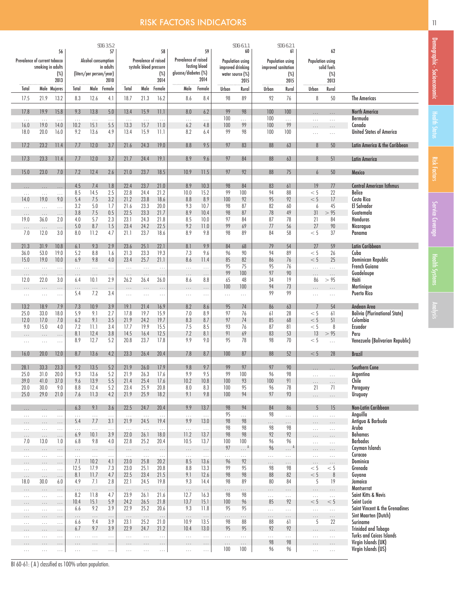# **RISK FACTORS INDICATORS 11 April 2018 12 April 2019 12 April 2019 11**

|                               |                      |                      |                 |                          | SDG: 3.5.2      |                  |                         |                  |                      |                  |                   | SDG: 6.1.1             |                     | SDG: 6.2.1             |                      |                      |                                                        |
|-------------------------------|----------------------|----------------------|-----------------|--------------------------|-----------------|------------------|-------------------------|------------------|----------------------|------------------|-------------------|------------------------|---------------------|------------------------|----------------------|----------------------|--------------------------------------------------------|
| Prevalence of current tobacco |                      | 56                   |                 | Alcohol consumption      | 57              |                  | Prevalence of raised    | 58               | Prevalence of raised | 59               |                   | 60<br>Population using |                     | 61<br>Population using | Population using     | 62                   |                                                        |
|                               | smoking in adults    |                      |                 |                          | in adults       |                  | systolic blood pressure |                  |                      | fasting blood    | improved drinking |                        | improved sanitation |                        |                      | solid fuels          |                                                        |
|                               |                      | $(\%)$<br>2013       |                 | (liters/per person/year) | 2010            |                  |                         | $(\%)$<br>2014   | glucose/diabetes (%) | 2014             | water source (%)  | 2015                   |                     | $(\%)$<br>2015         |                      | $(\%)$<br>2013       |                                                        |
| Total                         |                      | Male Mujeres         | Total           |                          | Male Female     | Total            | Male                    | Female           | Male                 | Female           | Urban             | Rural                  | Urban               | Rural                  | Urban                | Rural                |                                                        |
| 17.5                          | 21.9                 | 13.2                 | 8.3             | 12.6                     | 4.1             | 18.7             | 21.3                    | 16.2             | 8.6                  | 8.4              | 98                | 89                     | 92                  | 76                     | 8                    | 50                   | <b>The Americas</b>                                    |
| 17.8                          | 19.9                 | 15.8                 | 9.3             | 13.8                     | 5.0             | 13.4             | 15.9                    | 11.1             | 8.0                  | 6.2              | 99                | 98                     | 100                 | 100                    | $\cdots$             | $\ldots$             | <b>North America</b>                                   |
| $\ldots$                      | $\ldots$             | $\ldots$             | $\ldots$        | $\ldots$                 | $\ldots$        | $\ldots$         | $\ldots$                | $\ldots$         | $\ldots$             | $\ldots$         | 100               | $\ldots$               | 100                 | $\cdots$               | $\cdots$             | $\ldots$             | Bermuda                                                |
| 16.0<br>18.0                  | 19.0<br>20.0         | 14.0<br>16.0         | 10.2<br>9.2     | 15.1<br>13.6             | 5.5<br>4.9      | 13.3<br>13.4     | 15.7<br>15.9            | 11.0<br>11.1     | 6.2<br>8.2           | 4.8<br>6.4       | 100<br>99         | 99<br>98               | 100<br>100          | 99<br>100              | $\cdots$<br>$\cdots$ | $\cdots$<br>$\ldots$ | Canada<br><b>United States of America</b>              |
|                               |                      |                      |                 |                          |                 |                  |                         |                  |                      |                  |                   |                        |                     |                        |                      |                      |                                                        |
| 17.2                          | 23.2                 | 11.4                 | 7.7             | 12.0                     | 3.7             | 21.6             | 24.3                    | 19.0             | 8.8                  | 9.5              | 97                | 83                     | 88                  | 63                     | 8                    | 50                   | Latin America & the Caribbean                          |
| 17.3                          | 23.3                 | 11.4                 | 7.7             | 12.0                     | 3.7             | 21.7             | 24.4                    | 19.1             | 8.9                  | 9.6              | 97                | 84                     | 88                  | 63                     | 8                    | 51                   | <b>Latin America</b>                                   |
| 15.0                          | 23.0                 | 7.0                  | 7.2             | 12.4                     | 2.6             | 21.0             | 23.7                    | 18.5             | 10.9                 | 11.5             | 97                | 92                     | 88                  | 75                     | 6                    | 50                   | Mexico                                                 |
|                               |                      |                      |                 |                          |                 |                  |                         |                  |                      |                  |                   |                        |                     |                        |                      |                      |                                                        |
| $\cdots$<br>$\ldots$          | $\cdots$<br>$\cdots$ | $\ldots$<br>$\cdots$ | 4.5<br>8.5      | 7.4<br>14.5              | 1.8<br>2.5      | 22.4<br>22.8     | 23.7<br>24.4            | 21.0<br>21.2     | 8.9<br>10.0          | 10.3<br>15.2     | 98<br>99          | 84<br>100              | 83<br>94            | 61<br>88               | 19<br>< 5            | 77<br>22             | <b>Central American Isthmus</b><br><b>Belice</b>       |
| 14.0                          | 19.0                 | 9.0                  | 5.4             | 7.5                      | 3.2             | 21.2             | 23.8                    | 18.6             | 8.8                  | 8.9              | 100               | 92                     | 95                  | 92                     | < 5                  | 17                   | Costa Rica                                             |
| .                             | $\cdots$             | $\cdots$             | 3.2             | 5.0                      | 1.7             | 21.6             | 23.3                    | 20.0             | 9.3                  | 10.7             | 98                | 87                     | 82                  | 60                     | 6                    | 45                   | <b>El Salvador</b>                                     |
| $\cdots$                      | $\ldots$             | $\cdots$             | 3.8             | 7.5<br>5.7               | $0.5\,$         | 22.5<br>23.1     | 23.3                    | 21.7             | 8.9                  | 10.4<br>10.0     | 98                | 87                     | 78                  | 49<br>78               | 31                   | > 95<br>84           | Guatemala<br>Honduras                                  |
| 19.0                          | 36.0                 | 2.0                  | 4.0<br>5.0      | 8.7                      | 2.3<br>1.5      | 23.4             | 24.3<br>24.2            | 21.8<br>22.5     | 8.5<br>9.2           | 11.0             | 97<br>99          | 84<br>69               | 87<br>77            | 56                     | 21<br>27             | 90                   | Nicaragua                                              |
| $\cdots$<br>7.0               | $\ldots$<br>12.0     | $\cdots$<br>3.0      | 8.0             | 11.2                     | 4.7             | 21.1             | 23.7                    | 18.6             | 8.9                  | 9.8              | 98                | 89                     | 84                  | 58                     | < 5                  | 37                   | Panama                                                 |
|                               |                      |                      |                 |                          |                 |                  |                         |                  |                      |                  |                   |                        |                     |                        |                      |                      |                                                        |
| 21.3                          | 31.9                 | 10.8                 | 6.1             | 9.3                      | 2.9             | 23.6             | 25.1                    | 22.1             | 8.1                  | 9.9              | 84                | 68                     | 79                  | 54                     | 27                   | 59                   | Latin Caribbean                                        |
| 36.0<br>15.0                  | 53.0<br>19.0         | 19.0<br>10.0         | 5.2<br>6.9      | 8.8<br>9.8               | 1.6<br>4.0      | 21.3<br>23.4     | 23.3<br>25.7            | 19.3<br>21.1     | 7.3<br>8.6           | 9.6<br>11.4      | 96<br>85          | 90<br>82               | 94<br>86            | 89<br>76               | < 5<br>< 5           | 26<br>25             | Cuba<br>Dominican Republic                             |
| $\sim$ $\sim$ $\sim$          | $\ldots$             | $\cdots$             | $\ldots$        | $\ldots$                 | $\ldots$        | $\ldots$         | $\ldots$                | $\ldots$         | $\ldots$             | $\ldots$         | 95                | 75                     | 95                  | 76                     | $\ldots$             | $\mathbb{Z}^2$ .     | <b>French Guiana</b>                                   |
| $\cdots$                      | $\dots$              | $\cdots$             | $\cdots$        | $\ldots$                 | $\ldots$        | $\ldots$         | $\ldots$                | $\dots$          | $\cdots$             | $\cdots$         | 99                | 100                    | 97                  | 90                     | $\cdots$             | $\ldots$             | Guadeloupe                                             |
| 12.0                          | 22.0                 | 3.0                  | 6.4             | 10.1                     | 2.9             | 26.2             | 26.4                    | 26.0             | 8.6                  | 8.8              | 65                | 48                     | 34                  | 19                     | 86                   | > 95                 | Haiti                                                  |
| .                             | .                    |                      | .<br>5.4        | $\cdots$<br>7.2          | $\ldots$<br>3.4 | $\cdots$         |                         | .                |                      |                  | 100               | 100                    | 94<br>99            | 73<br>99               |                      |                      | Martinique<br><b>Puerto Rico</b>                       |
| $\cdots$                      | $\cdots$             | $\ldots$             |                 |                          |                 | $\ldots$         | $\cdots$                | $\cdots$         | $\cdots$             | $\cdots$         | $\ldots$          | $\ldots$               |                     |                        | $\cdots$             | $\ldots$             |                                                        |
| 13.2                          | 18.9                 | 7.9                  | 7.3             | 10.9                     | 3.9             | 19.1             | 21.4                    | 16.9             | 8.2                  | 8.6              | 95                | 74                     | 86                  | 63                     |                      | 54                   | Andean Area                                            |
| 25.0                          | 33.0                 | 18.0                 | 5.9             | 9.1                      | 2.7             | 17.8             | 19.7                    | 15.9             | 7.0                  | 8.9              | 97                | 76                     | 61                  | 28                     | < 5                  | 61                   | <b>Bolivia (Plurinational State)</b>                   |
| 12.0<br>9.0                   | 17.0<br>15.0         | 7.0<br>4.0           | 6.2<br>7.2      | 9.1<br>11.1              | 3.5<br>3.4      | 21.9<br>17.7     | 24.2<br>19.9            | 19.7<br>15.5     | 8.3<br>7.5           | 8.7<br>8.5       | 97<br>93          | 74<br>76               | 85<br>87            | 68<br>81               | < 5<br>< 5           | 51<br>8              | Colombia<br>Ecuador                                    |
| $\cdots$                      | $\cdots$             | $\cdots$             | 8.1             | 12.4                     | 3.8             | 14.5             | 16.4                    | 12.5             | 7.2                  | 8.1              | 91                | 69                     | 83                  | 53                     | 13                   | > 95                 | Peru                                                   |
| $\cdots$                      | $\cdots$             | $\cdots$             | 8.9             | 12.7                     | 5.2             | 20.8             | 23.7                    | 17.8             | 9.9                  | 9.0              | 95                | 78                     | 98                  | 70                     | < 5                  | $\cdots$             | Venezuela (Bolivarian Republic)                        |
| 16.0                          | 20.0                 | 12.0                 | 8.7             | 13.6                     | 4.2             | 23.3             | 26.4                    | 20.4             | 7.8                  | 8.7              | 100               | 87                     | 88                  | 52                     | < 5                  | 28                   | <b>Brazil</b>                                          |
|                               |                      |                      |                 |                          |                 |                  |                         |                  |                      |                  |                   |                        |                     |                        |                      |                      |                                                        |
| 28.1                          | 33.3                 | 23.3                 | 9.2             | 13.5                     | $5.2\,$         | 21.9             | 26.0                    | 17.9             | $9.8\,$              | 9.7              | 99                | 97                     | 97                  | 90                     |                      |                      | Southern Cone                                          |
| 25.0<br>39.0                  | 31.0<br>41.0         | 20.0<br>37.0         | 9.3<br>9.6      | 13.6<br>13.9             | 5.2<br>$5.5\,$  | 21.9<br>21.4     | 26.3<br>25.4            | 17.6<br>17.6     | 9.9<br>10.2          | 9.5<br>10.8      | 99<br>100         | 100<br>93              | 96<br>100           | 98<br>91               | $\cdots$             | $\ldots$             | Argentina<br>Chile                                     |
| 20.0                          | 30.0                 | 9.0                  | 8.8             | 12.4                     | 5.2             | 23.4             | 25.9                    | 20.8             | 8.0                  | 8.3              | 100               | 95                     | 96                  | 78                     | $\cdots$<br>21       | $\cdots$<br>71       | Paraguay                                               |
| 25.0                          | 29.0                 | 21.0                 | 7.6             | 11.3                     | 4.2             | 21.9             | 25.9                    | 18.2             | 9.1                  | 9.8              | 100               | 94                     | 97                  | 93                     | $\cdots$             | $\ldots$             | Uruguay                                                |
|                               |                      |                      | 6.3             | 9.1                      | 3.6             | 22.5             | 24.7                    | 20.4             | 9.9                  | 13.7             | 98                | 94                     | 84                  | 86                     | 5                    | 15                   | <b>Non-Latin Caribbean</b>                             |
| $\ldots$<br>$\cdots$          | $\cdots$<br>$\cdots$ | $\cdots$<br>$\cdots$ | $\cdots$        | $\ldots$                 | $\ldots$        | $\ldots$         | $\ldots$                | $\ldots$         | $\ldots$             | $\ldots$         | 95                | $\cdots$               | 98                  | .                      | $\cdots$             | $\ldots$             | Anguilla                                               |
| $\cdots$                      | .                    | $\cdots$             | 5.4             | 7.7                      | 3.1             | 21.9             | 24.5                    | 19.4             | 9.9                  | 13.0             | 98                | 98                     | $\cdots$            | $\cdots$               | $\cdots$             | $\ldots$             | Antigua & Barbuda                                      |
| $\ldots$                      | $\cdots$             | $\cdots$             | .               | $\ldots$                 | $\ldots$        | $\ldots$         | $\ldots$                | $\ldots$         | $\cdots$             | $\ldots$         | 98                | 98                     | 98                  | 98                     | $\cdots$             | $\ldots$             | Aruba                                                  |
| $\cdots$<br>7.0               | $\cdots$<br>13.0     | $\cdots$<br>1.0      | 6.9<br>6.8      | 10.1<br>9.8              | 3.9<br>4.0      | 22.0<br>22.8     | 26.1<br>25.2            | 18.0<br>20.4     | 11.2<br>10.5         | 13.7<br>13.7     | 98<br>100         | 98<br>100              | 92<br>96            | 92<br>96               | $\cdots$             | $\cdots$             | <b>Bahamas</b><br><b>Barbados</b>                      |
| .                             | $\cdots$             | .                    | $\cdots$        | $\cdots$                 | $\ldots$        | $\ldots$         | $\ldots$                | $\cdots$         | $\cdots$             | $\cdots$         | 97                | $\ldots$ <sup>A</sup>  | 96                  | . <sup>A</sup>         | $\cdots$<br>$\cdots$ | $\ldots$<br>$\ldots$ | Cayman Islands                                         |
| $\cdots$                      | $\ldots$             | $\ldots$             | $\cdots$        | $\ldots$                 | $\ldots$        | $\ldots$         | $\cdots$                | $\ldots$         | $\ldots$             | $\cdots$         | $\ldots$          | $\ldots$               | .                   | $\ldots$               | $\ldots$             | $\ldots$             | Curacao                                                |
| $\cdots$                      | .                    | $\cdots$             | 7.1             | 10.2                     | 4.1             | 23.0             | 25.8                    | 20.2             | 8.5                  | 13.6             | 96                | 92                     | $\cdots$            | $\cdots$               | $\cdots$             | $\ldots$             | Dominica                                               |
| $\cdots$                      | $\cdots$             | $\cdots$             | 12.5            | 17.9                     | 7.3             | 23.0             | 25.1                    | 20.8             | 8.8                  | 13.3             | 99<br>98          | 95<br>98               | 98<br>88            | 98<br>82               | < 5                  | < 5                  | Grenada                                                |
| $\cdots$<br>18.0              | $\cdots$<br>30.0     | $\cdots$<br>6.0      | 8.1<br>4.9      | 11.7<br>7.1              | 4.7<br>2.8      | 22.5<br>22.1     | 23.4<br>24.5            | 21.5<br>19.8     | 9.1<br>9.3           | 12.6<br>14.4     | 98                | 89                     | 80                  | 84                     | $< 5\,$<br>5         | $\,8\,$<br>19        | Guyana<br>Jamaica                                      |
| .                             | $\cdots$             | .                    | $\cdots$        | $\ldots$                 | $\ldots$        | $\ldots$         | $\ldots$                | $\ldots$         | $\cdots$             | $\ldots$         | .                 | .                      | $\cdots$            | .                      |                      | $\cdots$             | Montserrat                                             |
| .                             | $\cdots$             | $\ldots$             | 8.2             | 11.8                     | 4.7             | 23.9             | 26.1                    | 21.6             | 12.7                 | 16.3             | 98                | 98                     | $\ldots$            | .                      | $\cdots$             | $\ldots$             | Saint Kitts & Nevis                                    |
| $\cdots$                      | $\cdots$             | $\cdots$             | 10.4            | 15.1                     | 5.9             | 24.2             | 26.5                    | 21.8             | 13.7                 | 15.1             | 100               | 96                     | 85                  | 92                     | < 5                  | < 5                  | Saint Lucia                                            |
| $\ldots$                      | $\cdots$             | $\cdots$             | 6.6             | 9.2                      | 3.9             | 22.9             | 25.2                    | 20.6             | 9.3                  | 11.8             | 95                | 95                     | $\ldots$            | .                      | $\cdots$             | $\ldots$             | Saint Vincent & the Grenadines<br>Sint Maarten (Dutch) |
| $\cdots$<br>.                 | $\cdots$<br>$\cdots$ | $\cdots$<br>$\cdots$ | $\cdots$<br>6.6 | $\ldots$<br>9.4          | $\ldots$<br>3.9 | $\ldots$<br>23.1 | $\ldots$<br>25.2        | $\cdots$<br>21.0 | $\ldots$<br>10.9     | $\cdots$<br>13.5 | $\ldots$<br>98    | .<br>88                | $\cdots$<br>88      | $\cdots$<br>61         | .<br>5               | $\cdots$<br>22       | Suriname                                               |
| $\cdots$                      | $\cdots$             | $\cdots$             | 6.7             | 9.7                      | 3.9             | 22.9             | 24.7                    | 21.2             | 10.4                 | 13.0             | 95                | 95                     | 92                  | 92                     | $\cdots$             | $\ldots$             | <b>Trinidad and Tobago</b>                             |
| .                             | $\cdots$             | $\cdots$             | .               | $\ldots$                 | $\ldots$        | $\ldots$         | $\cdots$                | $\ldots$         | $\ldots$             | $\ldots$         | $\ldots$          | $\ldots$               | $\ldots$            | $\ldots$               | $\cdots$             | $\ldots$             | <b>Turks and Caicos Islands</b>                        |
| $\cdots$                      | .                    | $\cdots$             | $\cdots$        | $\cdots$                 | $\ldots$        | $\cdots$         |                         | $\cdots$         | $\cdots$             | $\cdots$         | $\cdots$<br>100   | $\ldots$<br>100        | 98<br>96            | 98<br>96               |                      | $\cdots$             | Virgin Islands (UK)<br>Virgin Islands (US)             |
| $\cdots$                      | $\cdots$             | $\ldots$             | $\cdots$        | $\cdots$                 | $\ldots$        | $\ldots$         | $\cdots$                | .                | $\ldots$             | $\ldots$         |                   |                        |                     |                        | $\cdots$             | $\ldots$             |                                                        |

BI 60-61: (A) classified as 100% urban population.

Demographic - Socioeconomic

Demographic - Socioeconomic Health Status

Health Status **Health Service Coverage**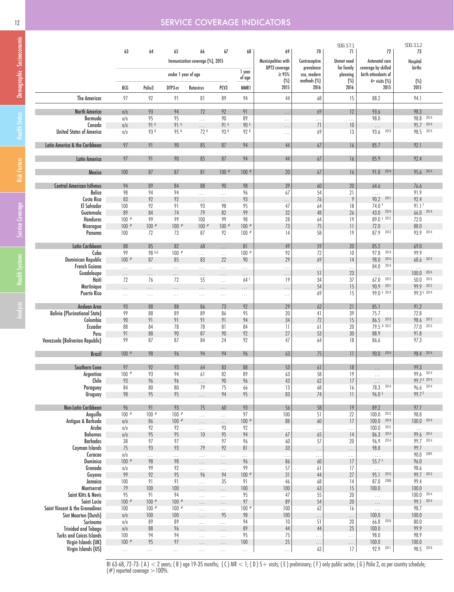## 12 SERVICE COVERAGE INDICATORS

|                                               |                     |               |                     |                                 |                  |                    |                             |                           | SDG: 3.7.1              |                                            | SDG: 3.1.2           |
|-----------------------------------------------|---------------------|---------------|---------------------|---------------------------------|------------------|--------------------|-----------------------------|---------------------------|-------------------------|--------------------------------------------|----------------------|
|                                               | 63                  | 64            | 65                  | 66                              | 67               | 68                 | 69                          | 70                        | 71                      | 72                                         | 73                   |
|                                               |                     |               |                     | Immunization coverage (%), 2015 |                  |                    | Municipalities with         | Contraceptive             | <b>Unmet need</b>       | Antenatal care                             | Hospital             |
|                                               |                     |               | under 1 year of age |                                 |                  | 1 year             | DPT3 coverage<br>$\geq 95%$ | prevalence<br>use, modern | for family<br>planning  | coverage by skilled<br>birth attendants of | births               |
|                                               |                     |               |                     |                                 |                  | of age             | $(\%)$                      | methods (%)               | $(\%)$                  | $4+$ visits $(\%)$                         | $(\%)$               |
|                                               | BCG                 | Polio3        | DTP3-cv             | Rotavirus                       | PCV3             | MMR1               | 2015                        | 2016                      | 2016                    | 2015                                       | 2015                 |
| <b>The Americas</b>                           | 97                  | 92            | 91                  | 81                              | 89               | 94                 | 44                          | 68                        | 15                      | 88.2                                       | 94.1                 |
| North America                                 | n/a                 | 93            | 94                  | 72                              | 92               | 91                 |                             | 69                        | 12                      | 93.6                                       | 98.3                 |
| Bermuda                                       | n/a                 | 95            | 95                  | $\ldots$                        | 90               | 89                 | $\ldots$<br>$\cdots$        | $\cdots$                  | $\cdots$                | 98.0                                       | 98.8 2014            |
| Canada                                        | $\eta/\mathfrak{g}$ | 91 A          | 91 A                | $\cdots$                        | 91 A             | 90 A               | .                           | 71                        | 10                      | $\ldots$                                   | 95.7 2014            |
| <b>United States of America</b>               | n/a                 | 93 B          | 95 B                | 72B                             | 93B              | 92 B               | .                           | 69                        | 13                      | 2013<br>93.6                               | 98.5 2013            |
| Latin America & the Caribbean                 | 97                  | 91            | 90                  | 85                              | 87               | 94                 | $44$                        | $67$                      | 16                      | 85.7                                       | 92.1                 |
|                                               |                     |               |                     |                                 |                  |                    |                             |                           |                         |                                            |                      |
| <b>Latin America</b>                          | 97                  | 91            | 90                  | 85                              | 87               | 94                 | 44                          | 67                        | 16                      | 85.9                                       | 92.4                 |
| Mexico                                        | 100                 | 87            | 87                  | 81                              | $100$ #          | $100$ #            | $20\,$                      | $67$                      | 16                      | 91.0 2014                                  | 95.6 2014            |
| <b>Central American Isthmus</b>               | 94                  | 89            | 84                  | 88                              | 90               | 98                 | $39$                        | 60                        | $20\,$                  | 64.6                                       | 76.6                 |
| Belice                                        | 98                  | 94            | 94                  | .                               | $\ldots$         | 96                 | 67                          | 54                        | 21                      | $\cdots$                                   | 91.9                 |
| Costa Rica                                    | 83                  | 92            | 92                  | .                               | .                | 93                 | .                           | 76                        | 9                       | 90.2 2011                                  | 92.4                 |
| El Salvador                                   | 100                 | 92            | 91                  | 93                              | 98               | 95                 | 47                          | 64                        | 18                      | 74.0 F                                     | 91.1F                |
| Guatemala                                     | 89                  | 84            | 74                  | 79                              | 82               | 99                 | $32\,$                      | 48                        | 26                      | 43.0 2014                                  | 66.0 2014            |
| Honduras                                      | $100$ #             | 99            | 99                  | 100                             | 99               | 98                 | 28                          | 64                        | 19                      | 89.0 F 2012                                | 72.0                 |
| Nicaragua                                     | $100 *$             | $100$ #       | $100$ #             | $100$ #                         | $100 *$          | $100$ #<br>$100$ # | 73                          | 75                        | $\overline{\mathbf{1}}$ | 72.0<br>87.9 2013                          | 88.0                 |
| Panama                                        | 100                 | 72            | 73                  | 87                              | 92               |                    | 14                          | 58                        | 19                      |                                            | 93.9 2014            |
| Latin Caribbean                               | 88                  | 85            | 82                  | 68                              | .                | 81                 | 49                          | 59                        | 20                      | 85.2                                       | 69.0                 |
| Cuba<br><b>Dominican Republic</b>             | 99<br>$100 *$       | 98 A,G<br>87  | $100$ #<br>85       | $\cdots$<br>83                  | $\ldots$<br>22   | $100 *$<br>90      | 92<br>29                    | 72<br>69                  | 10<br>14                | 97.8<br>2014<br>98.0<br>2014               | 99.9<br>68.6 2014    |
| French Guiana                                 | $\cdots$            | .             | .                   | $\cdots$                        | $\cdots$         | $\ldots$           | .                           | .                         | .                       | 84.0 2014                                  | $\ldots$             |
| Guadeloupe                                    | $\ldots$            | $\cdots$      | $\cdots$            | $\cdots$                        | $\cdots$         | $\cdots$           | $\cdots$                    | 51                        | 23                      | $\ldots$                                   | $100.0$ $2014$       |
| Haiti                                         | 72                  | 76            | 72                  | 55                              | $\ldots$         | 64 <sup>C</sup>    | 19                          | 34                        | 37                      | $67.0$ $2012$                              | 50.0 2013            |
| Martinique                                    |                     | .             | $\cdots$            | .                               |                  | .                  | $\cdots$                    | 54                        | 15                      | 90.9 2011                                  | 99.9 2012            |
| Puerto Rico                                   | .                   | $\ldots$      | $\sim$ .            | $\cdots$                        | $\ldots$         | $\cdots$           | $\cdots$                    | 69                        | 15                      | 99.0 E 2014                                | 99.3 E 2014          |
| Andean Area                                   | 93                  | 88            | 88                  | 86                              | 73               | 92                 | 29                          | 62                        | 21                      | 85.1                                       | 91.2                 |
| <b>Bolivia (Plurinational State)</b>          | 99                  | 88            | 89                  | 89                              | 86               | 95                 | 20                          | 41                        | 39                      | 75.7                                       | 72.8                 |
| Colombia                                      | 90                  | 91            | 91                  | 91                              | 91               | 94                 | 34                          | $72\,$                    | 15                      | 86.5 2013                                  | 98.6 2013            |
| Ecuador                                       | 88                  | 84            | 78                  | 78                              | 81               | 84                 | $\overline{\mathcal{L}}$    | 61                        | 20                      | 79.5 D 2012                                | 77.0<br>2013         |
| Peru                                          | 91                  | 88            | 90                  | 87                              | 90               | 92                 | 27                          | 53                        | 30                      | 88.9                                       | 91.8                 |
| Venezuela (Bolivarian Republic)               | 99                  | 87            | 87                  | 84                              | 24               | 92                 | 47                          | 64                        | 18                      | 86.6                                       | 97.3                 |
| <b>Brazil</b>                                 | $100$ #             | 98            | 96                  | 94                              | 94               | 96                 | 63                          | 75                        | $\overline{11}$         | 90.0 2014                                  | 98.4 2014            |
| Southern Cone                                 | 97                  | 92            | 93                  | 64                              | 83               | 88                 | 53                          | 61                        | 18                      |                                            | 99.3                 |
| Argentina                                     | $100 *$             | 93            | 94                  | 61                              | 82               | 89                 | 63                          | 58                        | 19                      | $\ldots$<br>$\ldots$                       | 99.6 2014            |
| Chile                                         | 93                  | 96            | 96                  | .                               | 90               | 96                 | 43                          | $62$                      | 17                      | $\ldots$                                   | 99.7 E 2014          |
| Paraguay                                      | 84                  | 80            | 80                  | 79                              | 75               | 66                 | 13                          | 68                        | 16                      | 78.3 2014                                  | 96.6 2014            |
| Uruguay                                       | 98                  | 95            | 95                  | $\ldots$                        | 94               | 95                 | 83                          | 74                        | $\overline{\mathbf{1}}$ | 96.0 E                                     | 99.7E                |
| Non-Latin Caribbean                           | 96                  | 91            | 93                  | 75                              | 60               | 93                 | 56                          | 58                        | 19                      | 89.2                                       | 97.7                 |
| Anguilla                                      | $100 *$             | $100$ #       | $100$ #             | $\ldots$                        | $\ldots$         | 97                 | 100                         | 51                        | 22                      | 100.0 2012                                 | 98.8                 |
| Antigua & Barbuda                             | n/a                 | 86            | $100$ #             | $\cdots$                        | $\ldots$         | $100$ #            | 88                          | 60                        | 17                      | 100.0 2014                                 | $100.0$ $2014$       |
| Aruba                                         | n/a                 | 92            | 92                  | $\ldots$                        | 93               | 92                 | $\cdots$                    | .                         | $\ldots$                | 100.0 2012                                 | $\ldots$             |
| Bahamas                                       | n/a                 | 95            | 95                  | 10                              | 95               | 94                 | 67                          | 65                        | 14                      | 86.3 2014                                  | 99.6 2014            |
| <b>Barbados</b><br>Cayman Islands             | 38<br>75            | 97<br>93      | 97<br>93            | $\ldots$<br>79                  | 97<br>92         | 96<br>81           | 60<br>33                    | 57                        | 20                      | 96.9 2014<br>98.8                          | 99.7 2014<br>99.7    |
| Curacao                                       | n/a                 | $\ldots$      | $\ldots$            | $\ldots$                        | $\ldots$         | $\cdots$           | $\cdots$                    | $\cdots$                  | $\ldots$                | $\ldots$                                   | 90.0 2009            |
| Dominica                                      | $100$ #             | 98            | 98                  | $\cdots$                        | $\ldots$         | 96                 | 86                          | .<br>60                   | $\ldots$<br>17          | 55.7 F                                     | 96.0                 |
| Grenada                                       | n/a                 | 99            | 92                  | $\ldots$                        | $\mathbb{Z}^2$ . | 99                 | 57                          | 61                        | 17                      | $\bar{\tau}$ , $\bar{\tau}$                | 98.6                 |
| Guyana                                        | 99                  | 92            | 95                  | 96                              | 94               | $100 *$            | $31\,$                      | 44                        | 27                      | 95.1 2013                                  | 99.7 2013            |
| Jamaica                                       | 100                 | 91            | 91                  | $\cdots$                        | 35               | 91                 | 46                          | 68                        | 14                      | 2008<br>87.0                               | 99.4                 |
| Montserrat                                    | 79                  | 100           | 100                 | $\cdots$                        | $\ldots$         | 100                | 100                         | 63                        | 15                      | 100.0                                      | 100.0                |
| Saint Kitts & Nevis                           | 95                  | 91<br>$100$ # | 94                  | $\ldots$                        | $\ldots$         | 95                 | 47                          | 55                        | 20                      | $\ldots$                                   | $100.0$ 2014<br>2014 |
| Saint Lucia<br>Saint Vincent & the Grenadines | $100$ #<br>100      | $100$ #       | $100$ #<br>$100 *$  | $\cdots$                        | $\ldots$         | 97<br>$100$ #      | 89<br>100                   | 54<br>62                  | 20<br>16                | $\cdots$                                   | 99.1<br>98.7         |
| Sint Maarten (Dutch)                          | $\eta/\mathfrak{g}$ | 100           | $100\,$             | $\ldots$                        | $\ldots$<br>95   | 98                 | 100                         |                           |                         | $\ldots$<br>100.0                          | 100.0                |
| Suriname                                      | n/a                 | 89            | 89                  | $\cdots$<br>$\ldots$            | $\ldots$         | 94                 | 10                          | .<br>51                   | .<br>20                 | 66.8 2010                                  | 80.0                 |
| <b>Trinidad and Tobago</b>                    | $\eta/\mathfrak{g}$ | 88            | 96                  | .                               |                  | 89                 | $44\,$                      | 44                        | 25                      | 100.0                                      | 99.9                 |
| <b>Turks and Caicos Islands</b>               | 100                 | 94            | 94                  | $\ldots$                        | $\ldots$         | 95                 | 75                          | $\cdots$                  | $\ldots$                | 98.0                                       | 98.9                 |
| Virgin Islands (UK)                           | $100$ #             | 95            | $97\,$              | $\cdots$                        | $\cdots$         | $100\,$            | $25\,$                      | $\cdots$                  | $\cdots$                | 100.0                                      | 100.0                |
| Virgin Islands (US)                           | $\mathbb{Z}$ .      | $\ldots$      | $\sim$ $\sim$       | $\ldots$                        | $\ldots$         | $\ldots$           | $\ldots$                    | 62                        | 17                      | 92.9 2011                                  | 98.5 2010            |

BI 63-68, 72-73: ( A )  $<$  2 years; ( B ) age 19-35 months; ( C ) MR  $<$  1; ( D ) 5 $+$  visits; ( E ) preliminary; ( F ) only public sector; ( G ) Polio 2, as per country schedule;  $(\#)$  reported coverage  $>$  100%.

Analysis Health Systems Service Coverage Risk Factors Health Status Demographic - Socioeconomic

Analysis Health Systems Service Coverage Risk Factors Health Status Demographic - Socioeconomic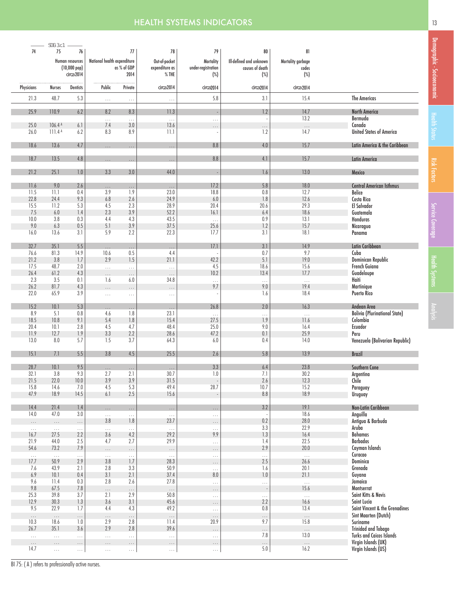# **HEALTH SYSTEMS INDICATORS** 13 **13** 13 13 13 13 14 14 15 16 17 18 19

|            | SDG: 3.c.1         |                       |                             |                       |                  |                       |                         |                   |                                      |
|------------|--------------------|-----------------------|-----------------------------|-----------------------|------------------|-----------------------|-------------------------|-------------------|--------------------------------------|
| 74         | $75\,$             | 76                    |                             | 77                    | 78               | 79                    | 80                      | 81                |                                      |
|            |                    |                       |                             |                       |                  |                       |                         |                   |                                      |
|            |                    | Human resources       | National health expenditure |                       | Out-of-pocket    | <b>Mortality</b>      | Ill-defined and unknown | Mortality garbage |                                      |
|            |                    | $(10,000~\text{pop})$ |                             | as % of GDP           | expenditure as   | under-registration    | causes of death         | codes             |                                      |
|            |                    | circa 2014            |                             | 2014                  | $%$ THE          | $(\%)$                | $(\%)$                  | $(\%)$            |                                      |
|            |                    |                       |                             |                       |                  |                       |                         |                   |                                      |
| Physicians | <b>Nurses</b>      | <b>Dentists</b>       | Public                      | Private               | circa 2014       | circa 2014            | circa 2014              | circa 2014        |                                      |
| 21.3       | 48.7               | 5.3                   | $\ldots$                    | $\ldots$              | $\ldots$         | 5.8                   | 3.1                     | 15.4              | <b>The Americas</b>                  |
|            |                    |                       |                             |                       |                  |                       |                         |                   |                                      |
| 25.9       | 110.9              | 6.2                   | 8.2                         | 8.3                   | 11.3             |                       | 1.2                     | 14.7              | <b>North America</b>                 |
| 25.0       | 106.4 A            | 6.1                   | $\ldots$<br>7.4             | $\ldots$<br>$3.0\,$   | $\ldots$<br>13.6 | $\ldots$              |                         | $13.2$            | Bermuda<br>Canada                    |
| 26.0       | 111.4 <sup>A</sup> | 6.2                   | 8.3                         | 8.9                   | 11.1             | $\cdots$              | $\ldots$<br>1.2         | $\ldots$<br>14.7  | <b>United States of America</b>      |
|            |                    |                       |                             |                       |                  |                       |                         |                   |                                      |
| 18.6       | 13.6               | 4.7                   |                             |                       |                  | 8.8                   | 4.0                     | 15.7              | Latin America & the Caribbean        |
|            |                    |                       | .                           | $\ldots$              | $\cdots$         |                       |                         |                   |                                      |
| 18.7       | 13.5               | 4.8                   | $\ldots$                    | $\ldots$              | $\ldots$         | 8.8                   | 4.1                     | 15.7              | <b>Latin America</b>                 |
|            |                    |                       |                             |                       |                  |                       |                         |                   |                                      |
| 21.2       | 25.1               | $1.0\,$               | 3.3                         | 3.0                   | 44.0             |                       | $1.6\,$                 | 13.0              | Mexico                               |
|            |                    |                       |                             |                       |                  |                       |                         |                   |                                      |
| 11.6       | 9.0                | $2.6\,$               | $\cdots$                    | $\ldots$              | $\ldots$         | 17.2                  | 5.8                     | 18.0              | <b>Central American Isthmus</b>      |
| 11.5       | 11.1               | $0.4\,$               | 3.9                         | 1.9                   | 23.0             | 18.8                  | $0.8\,$                 | 12.7              | <b>Belice</b>                        |
| 22.8       | 24.4               | 9.3                   | 6.8                         | 2.6                   | 24.9             | $6.0$                 | 1.8                     | 12.6              | Costa Rica                           |
| 15.5       | 11.2               | 5.3                   | 4.5                         | 2.3                   | 28.9             | 20.4                  | 20.6                    | 29.3              | <b>El Salvador</b>                   |
|            |                    |                       |                             |                       |                  |                       |                         |                   |                                      |
| 7.5        | $6.0$              | 1.4                   | 2.3                         | 3.9                   | 52.2             | 16.1                  | 6.4                     | 18.6              | Guatemala                            |
| 10.0       | $3.8\,$            | 0.3                   | 4.4                         | 4.3                   | 43.5             | $\bar{1}$ , $\bar{1}$ | 0.9                     | 13.1              | Honduras                             |
| 9.0        | 6.3                | 0.5                   | 5.1                         | 3.9                   | 37.5             | 25.6                  | 1.2                     | 15.7              | Nicaragua                            |
| 16.0       | 13.6               | 3.1                   | 5.9                         | 2.2                   | 22.3             | 17.7                  | 3.1                     | 18.1              | Panama                               |
|            |                    |                       |                             |                       |                  |                       |                         |                   |                                      |
| 32.7       | 35.1               | $5.5\,$               | .                           | $\ldots$              | $\ldots$         | 17.1                  | $3.1\,$                 | 14.9              | Latin Caribbean                      |
| 76.6       | 81.3               | 14.9                  | 10.6                        | 0.5                   | 4.4              |                       | 0.7                     | 9.7               | Cuba                                 |
| 21.2       | 3.8                | 1.7                   | 2.9                         | 1.5                   | 21.1             | 42.2                  | 5.1                     | 19.0              | <b>Dominican Republic</b>            |
|            |                    |                       |                             |                       |                  |                       |                         |                   |                                      |
| 17.5       | 48.7               | $2.0\,$               | $\bar{\mathbb{Z}}$ .        | $\bar{\mathcal{L}}$ . | $\ldots$         | 4.5                   | 18.6                    | 15.6              | French Guiana                        |
| 26.4       | 61.2               | 4.3                   | .                           | $\ldots$              | $\cdots$         | 10.2                  | 13.4                    | 17.7              | Guadeloupe                           |
| 2.3        | 3.5                | 0.1                   | 1.6                         | 6.0                   | 34.8             | $\cdots$              | $\sim$ .                | $\bar{\tau}$ .    | Haiti                                |
| 26.2       | 81.7               | 4.3                   | $\ldots$                    | .                     | $\cdots$         | 9.7                   | 9.0                     | 19.4              | Martinique                           |
| 22.0       | 65.9               | 3.9                   | $\ldots$                    | $\ldots$              | $\ldots$         |                       | 1.6                     | 18.4              | Puerto Rico                          |
|            |                    |                       |                             |                       |                  |                       |                         |                   |                                      |
| 15.2       | 10.1               | $5.3\,$               | .                           | .                     | $\ldots$         | 26.8                  | $2.0\,$                 | 16.3              | Andean Area                          |
| 8.9        | 5.1                | $0.8\,$               | 4.6                         | 1.8                   | 23.1             | $\ldots$              | $\ldots$                | $\ldots$          | <b>Bolivia (Plurinational State)</b> |
| 18.5       | 10.8               | 9.1                   | 5.4                         | 1.8                   | 15.4             | 27.5                  | 1.9                     | 11.6              | Colombia                             |
|            |                    |                       |                             |                       |                  |                       |                         |                   |                                      |
| 20.4       | 10.1               | 2.8                   | 4.5                         | 4.7                   | 48.4             | 25.0                  | 9.0                     | 16.4              | Ecuador                              |
| 11.9       | 12.7               | 1.9                   | 3.3                         | 2.2                   | 28.6             | 47.2                  | 0.1                     | 25.9              | Peru                                 |
| 13.0       | 8.0                | 5.7                   | 1.5                         | 3.7                   | 64.3             | 6.0                   | 0.4                     | 14.0              | Venezuela (Bolivarian Republic)      |
|            |                    |                       |                             |                       |                  |                       |                         |                   |                                      |
| 15.1       | 7.1                | $5.5\,$               | 3.8                         | 4.5                   | 25.5             | 2.6                   | 5.8                     | 13.9              | <b>Brazil</b>                        |
| 28.7       | 10.1               | 9.5                   |                             |                       |                  | 3.3                   | $6.4$                   | 23.8              | Southern Cone                        |
| 32.1       | $3.8\,$            | 9.3                   | $\ldots$<br>2.7             | $\ldots$<br>2.1       | $\ldots$<br>30.7 | $\, 1.0 \,$           | 7.1                     | $30.2\,$          | Argentina                            |
| 21.5       | 22.0               | $10.0$                | 3.9                         | 3.9                   | 31.5             |                       | 2.6                     | 12.3              |                                      |
|            |                    |                       |                             |                       |                  |                       |                         |                   | Chile                                |
| 15.8       | 14.6               | 7.0                   | 4.5                         | 5.3                   | 49.4             | 28.7                  | 10.7                    | 15.2              | Paraguay                             |
| 47.9       | 18.9               | 14.5                  | 6.1                         | 2.5                   | 15.6             |                       | 8.8                     | 18.9              | <b>Uruguay</b>                       |
|            |                    |                       |                             |                       |                  |                       |                         |                   |                                      |
| 14.4       | 21.4               | $1.4\,$               |                             | $\ldots$              | $\ldots$         | $\cdots$              | 3.2                     | 19.1              | Non-Latin Caribbean                  |
| 14.0       | 47.0               | $3.0\,$               | $\cdots$                    | $\ldots$              | $\ldots$         | $\ldots$              |                         | 18.6              | Anguilla                             |
| $\cdots$   | $\ldots$           | $\ldots$              | 3.8                         | 1.8                   | 23.7             | $\cdots$              | 0.2                     | 28.0              | Antigua & Barbuda                    |
| $\ldots$   | $\ldots$           | $\ldots$              | $\cdots$                    | $\ldots$              | $\ldots$         | $\ldots$              | 3.3                     | 22.9              | Aruba                                |
| 16.7       | 27.5               | 2.2                   | 3.6                         | 4.2                   | 29.2             | 9.9                   | 1.3                     | 16.4              | <b>Bahamas</b>                       |
| 21.9       | 44.0               | 2.5                   | 4.7                         | 2.7                   | 29.9             | $\ldots$              | 1.4                     | 22.5              | <b>Barbados</b>                      |
| 54.6       | 73.2               | 7.9                   |                             |                       |                  |                       | 2.9                     | 20.0              | Cayman Islands                       |
|            |                    |                       | $\ldots$                    | $\ldots$              | $\ldots$         | $\cdots$              |                         |                   | Curacao                              |
| $\ldots$   | $\ldots$           | $\ldots$              | $\ldots$                    | $\ldots$              | $\ldots$         | $\ldots$              | $\ldots$                | $\ldots$          |                                      |
| 17.7       | 50.9               | 2.9                   | 3.8                         | 1.7                   | 28.3             | $\ldots$              | 2.5                     | 26.6              | Dominica                             |
| 7.6        | 43.9               | 2.1                   | 2.8                         | 3.3                   | 50.9             | $\ldots$              | 1.6                     | 20.1              | Grenada                              |
| 6.9        | 10.1               | 0.4                   | 3.1                         | 2.1                   | 37.4             | $8.0\,$               | 1.0                     | 21.1              | Guyana                               |
| 9.6        | 11.4               | $0.3\,$               | 2.8                         | 2.6                   | 27.8             | $\ldots$              | $\sim$ .                | $\bar{\tau}$ .    | Jamaica                              |
| 9.8        | 67.5               | $7.8\,$               | $\ldots$                    | $\cdots$              | $\ldots$         | $\cdots$              |                         | 15.6              | Montserrat                           |
| 25.3       | 39.8               | 3.7                   | 2.1                         | 2.9                   | 50.8             | $\ldots$              | $\ldots$                | $\ldots$          | Saint Kitts & Nevis                  |
| 12.9       | 30.3               | 1.3                   | 3.6                         | 3.1                   | 45.6             |                       | 2.2                     | 16.6              | Saint Lucia                          |
| 9.5        | 22.9               | 1.7                   | 4.4                         |                       | 49.2             | $\ldots$              | 0.8                     | 13.4              | Saint Vincent & the Grenadines       |
|            |                    |                       |                             | 4.3                   |                  | $\ldots$              |                         |                   |                                      |
| $\ldots$   | $\ldots$           | $\ldots$              | $\ldots$                    | $\ldots$              | $\ldots$         | $\ldots$              | $\ldots$                | $\ldots$          | Sint Maarten (Dutch)                 |
| 10.3       | 18.6               | $1.0\,$               | 2.9                         | $2.8\,$               | 11.4             | 20.9                  | 9.7                     | 15.8              | Suriname                             |
| 26.7       | 35.1               | 3.6                   | 2.9                         | 2.8                   | 39.6             | $\ldots$              | $\ldots$                | $\ldots$          | <b>Trinidad and Tobago</b>           |
| $\ldots$   | $\ldots$           | $\ldots$              | $\ldots$                    | $\ldots$              | $\ldots$         | $\ldots$              | 7.8                     | 13.0              | <b>Turks and Caicos Islands</b>      |
| $\ldots$   | $\cdots$           | $\cdots$              | .                           | $\cdots$              | $\cdots$         | $\cdots$              | $\ldots$                | $\ldots$          | Virgin Islands (UK)                  |
| 14.7       | $\ldots$           | $\ldots$              | $\cdots$                    | $\ldots$              | $\cdots$         | $\ldots$              | 5.0                     | 16.2              | Virgin Islands (US)                  |
|            |                    |                       |                             |                       |                  |                       |                         |                   |                                      |

BI 75: (A) refers to professionally active nurses.

Demographic - Socioeconomic

Demographic - Socioeconomic | Health Status

Service Coverage Health Status

Health Systems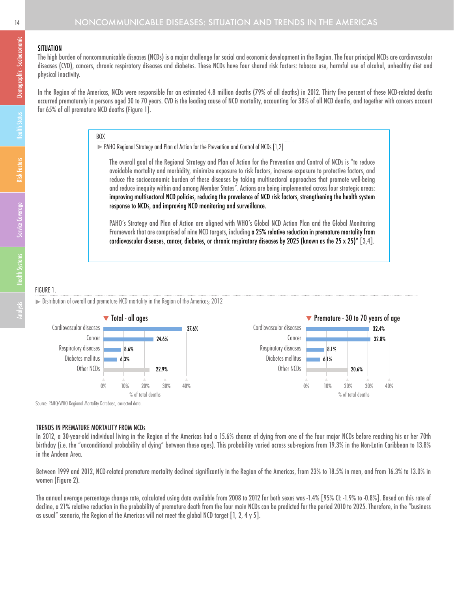#### **SITUATION**

The high burden of noncommunicable diseases (NCDs) is a major challenge for social and economic development in the Region. The four principal NCDs are cardiovascular diseases (CVD), cancers, chronic respiratory diseases and diabetes. These NCDs have four shared risk factors: tobacco use, harmful use of alcohol, unhealthy diet and physical inactivity.

In the Region of the Americas, NCDs were responsible for an estimated 4.8 million deaths (79% of all deaths) in 2012. Thirty five percent of these NCD-related deaths occurred prematurely in persons aged 30 to 70 years. CVD is the leading cause of NCD mortality, accounting for 38% of all NCD deaths, and together with cancers account for 65% of all premature NCD deaths (Figure 1).

## BOX

PAHO Regional Strategy and Plan of Action for the Prevention and Control of NCDs [1,2]

The overall goal of the Regional Strategy and Plan of Action for the Prevention and Control of NCDs is "to reduce avoidable mortality and morbidity, minimize exposure to risk factors, increase exposure to protective factors, and reduce the socioeconomic burden of these diseases by taking multisectoral approaches that promote well-being and reduce inequity within and among Member States". Actions are being implemented across four strategic areas: improving multisectoral NCD policies, reducing the prevalence of NCD risk factors, strengthening the health system response to NCDs, and improving NCD monitoring and surveillance.

PAHO's Strategy and Plan of Action are aligned with WHO's Global NCD Action Plan and the Global Monitoring Framework that are comprised of nine NCD targets, including a 25% relative reduction in premature mortality from cardiovascular diseases, cancer, diabetes, or chronic respiratory diseases by 2025 (known as the 25 x 25)" [3,4].

## FIGURE 1.

Distribution of overall and premature NCD mortality in the Region of the Americas; 2012



#### TRENDS IN PREMATURE MORTALITY FROM NCDs

In 2012, a 30-year-old individual living in the Region of the Americas had a 15.6% chance of dying from one of the four major NCDs before reaching his or her 70th birthday (i.e. the "unconditional probability of dying" between these ages). This probability varied across sub-regions from 19.3% in the Non-Latin Caribbean to 13.8% in the Andean Area.

Between 1999 and 2012, NCD-related premature mortality declined significantly in the Region of the Americas, from 23% to 18.5% in men, and from 16.3% to 13.0% in women (Figure 2).

The annual average percentage change rate, calculated using data available from 2008 to 2012 for both sexes was -1.4% [95% CI: -1.9% to -0.8%]. Based on this rate of decline, a 21% relative reduction in the probability of premature death from the four main NCDs can be predicted for the period 2010 to 2025. Therefore, in the "business as usual" scenario, the Region of the Americas will not meet the global NCD target [1, 2, 4 y 5].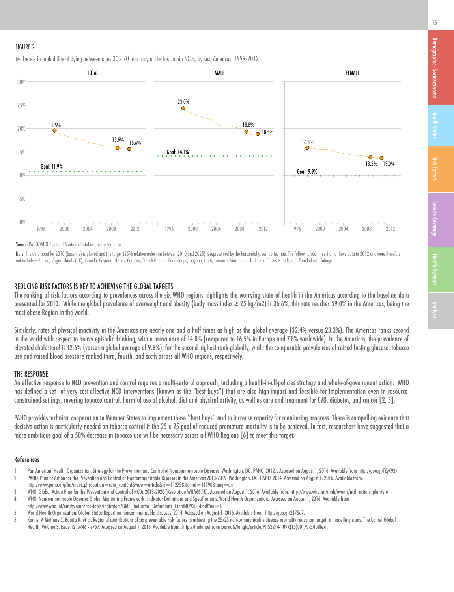#### FIGURE 2.





Source: PAHO/WHO Regional Mortality Database, corrected data.

Note: The data point for 2010 (baseline) is plotted and the target (25% relative reduction between 2010 and 2025) is represented by the horizontal green dotted line. The following countries did not have data in 2012 and we not included: Bolivia, Virgin Islands (UK), Canada, Cayman Islands, Curacao, French Guiana, Guadeloupe, Guyana, Haiti, Jamaica, Martinique, Turks and Caicos Islands, and Trinidad and Tobago.

#### REDUCING RISK FACTORS IS KEY TO ACHIEVING THE GLOBAL TARGETS

The ranking of risk factors according to prevalences across the six WHO regions highlights the worrying state of health in the Americas according to the baseline data presented for 2010. While the alobal prevalence of overweight and obesity (body mass index  $\geq$  25 kg/m2) is 36.6%, this rate reaches 59.0% in the Americas, being the most obese Region in the world.

Similarly, rates of physical inactivity in the Americas are nearly one and a half times as high as the global average (32.4% versus 23.3%). The Americas ranks second in the world with respect to heavy episodic drinking, with a prevalence of 14.0% (compared to 16.5% in Europe and 7.8% worldwide). In the Americas, the prevalence of elevated cholesterol is 12.6% (versus a global average of 9.8%), for the second highest rank globally, while the comparable prevalences of raised fasting glucose, tobacco use and raised blood pressure ranked third, fourth, and sixth across all WHO regions, respectively.

#### THE RESPONSE

An effective response to NCD prevention and control requires a multi-sectoral approach, including a health-in-all-policies strategy and whole-of-government action. WHO has defined a set of very cost-effective NCD interventions (known as the "best buys") that are also high-impact and feasible for implementation even in resourceconstrained settings, covering tobacco control, harmful use of alcohol, diet and physical activity, as well as care and treatment for CVD, diabetes, and cancer [2, 5].

PAHO provides technical cooperation to Member States to implement these ''best buys'' and to increase capacity for monitoring progress. There is compelling evidence that decisive action is particularly needed on tobacco control if the 25 x 25 goal of reduced premature mortality is to be achieved. In fact, researchers have suggested that a more ambitious goal of a 50% decrease in tobacco use will be necessary across all WHO Regions [6] to meet this target.

#### References

- 1. Pan American Health Organization. Strategy for the Prevention and Control of Noncommunicable Diseases. Washington, DC: PAHO, 2012. . Accessed on August 1, 2016. Available from http://goo.gl/fZyX92)
- 2. PAHO. Plan of Action for the Prevention and Control of Noncommunicable Diseases in the Americas 2013-2019. Washington, DC: PAHO, 2014. Accessed on August 1, 2016. Available from: http://www.paho.org/hq/index.php?option=com\_content&view=article&id=11275&Itemid=41590&lang=en
- 3. WHO. Global Action Plan for the Prevention and Control of NCDs 2013-2020 (Resolution WHA66.10). Accessed on August 1, 2016. Available from: http://www.who.int/nmh/events/ncd\_action\_plan/en/.
- 4. WHO. Noncommunicable Diseases Global Monitoring Framework: Indicator Definitions and Specifications. World Health Organization. Accessed on August 1, 2016. Available from

http://www.who.int/entity/nmh/ncd-tools/indicators/GMF\_Indicator\_Definitions\_FinalNOV2014.pdf?ua=1.

- 5. World Health Organization. Global Status Report on noncommunicable diseases, 2014. Accessed on August 1, 2016. Available from: http://goo.gl/217Sa7.
- 6. Kontis, V. Mathers C. Bonita R. et al. Regional contributions of six preventable risk factors to achieving the 25x25 non-communicable disease mortality reduction target: a modelling study. The Lancet Global Health, Volume 3, Issue 12, e746 - e757. Accessed on August 1, 2016. Available from: http://thelancet.com/journals/langlo/article/PIIS2214-109X(15)00179-5/fulltext.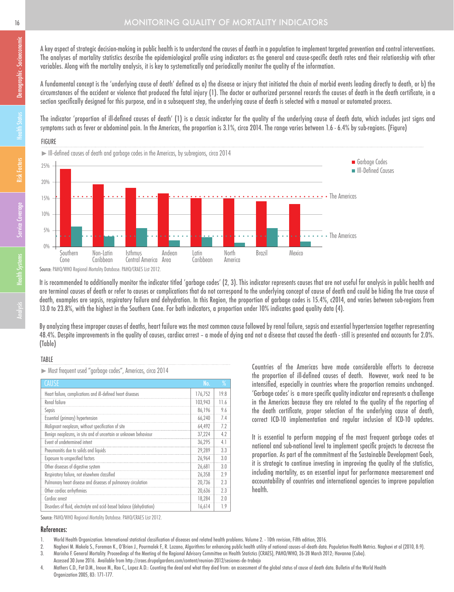## **16 MONITORING QUALITY OF MORTALITY INDICATORS**

A key aspect of strategic decision-making in public health is to understand the causes of death in a population to implement targeted prevention and control interventions. The analyses of mortality statistics describe the epidemiological profile using indicators as the general and cause-specific death rates and their relationship with other variables. Along with the mortality analysis, it is key to systematically and periodically monitor the quality of the information.

A fundamental concept is the 'underlying cause of death' defined as a) the disease or injury that initiated the chain of morbid events leading directly to death, or b) the circumstances of the accident or violence that produced the fatal injury (1). The doctor or authorized personnel records the causes of death in the death certificate, in a section specifically designed for this purpose, and in a subsequent step, the underlying cause of death is selected with a manual or automated process.

The indicator 'proportion of ill-defined causes of death' (1) is a classic indicator for the quality of the underlying cause of death data, which includes just signs and symptoms such as fever or abdominal pain. In the Americas, the proportion is 3.1%, circa 2014. The range varies between 1.6 - 6.4% by sub-regions. (Figure)

## FIGURE



Source: PAHO/WHO Regional Mortality Database. PAHO/CRAES List 2012.

It is recommended to additionally monitor the indicator titled 'garbage codes' (2, 3). This indicator represents causes that are not useful for analysis in public health and are terminal causes of death or refer to causes or complications that do not correspond to the underlying concept of cause of death and could be hiding the true cause of death, examples are sepsis, respiratory failure and dehydration. In this Region, the proportion of garbage codes is 15.4%, c2014, and varies between sub-regions from 13.0 to 23.8%, with the highest in the Southern Cone. For both indicators, a proportion under 10% indicates good quality data (4).

By analyzing these improper causes of deaths, heart failure was the most common cause followed by renal failure, sepsis and essential hypertension together representing 48.4%. Despite improvements in the quality of causes, cardiac arrest – a mode of dying and not a disease that caused the death - still is presented and accounts for 2.0%. (Table)

#### TABLE

Most frequent used "garbage codes", Americas, circa 2014

| <b>CAUSE</b>                                                         | No.     | $\frac{9}{6}$ |
|----------------------------------------------------------------------|---------|---------------|
| Heart failure, complications and ill-defined heart diseases          | 176,752 | 19.8          |
| Renal failure                                                        | 103,943 | 11.6          |
| Sepsis                                                               | 86,196  | 9.6           |
| Essential (primary) hypertension                                     | 66.240  | 74            |
| Malignant neoplasm, without specification of site                    | 64,492  | 7.2           |
| Benign neoplasms, in situ and of uncertain or unknown behaviour      | 37,224  | 4.2           |
| Event of undetermined intent                                         | 36,295  | 4.1           |
| Pneumonitis due to solids and liquids                                | 29,289  | 3.3           |
| Exposure to unspecified factors                                      | 26,964  | 3.0           |
| Other diseases of digestive system                                   | 26,681  | 3.0           |
| Respiratory failure, not elsewhere classified                        | 26,358  | 2.9           |
| Pulmonary heart disease and diseases of pulmonary circulation        | 20.736  | 2.3           |
| Other cardiac arrhythmias                                            | 20,636  | 2.3           |
| Cardiac arrest                                                       | 18,284  | 20            |
| Disorders of fluid, electrolyte and acid-based balance (dehydration) | 16,614  | 19            |

Countries of the Americas have made considerable efforts to decrease the proportion of ill-defined causes of death. However, work need to be intensified, especially in countries where the proportion remains unchanged. 'Garbage codes' is a more specific quality indicator and represents a challenge in the Americas because they are related to the quality of the reporting of the death certificate, proper selection of the underlying cause of death, correct ICD-10 implementation and regular inclusion of ICD-10 updates.

It is essential to perform mapping of the most frequent garbage codes at national and sub-national level to implement specific projects to decrease the proportion. As part of the commitment of the Sustainable Development Goals, it is strategic to continue investing in improving the quality of the statistics, including mortality, as an essential input for performance measurement and accountability of countries and international agencies to improve population health.

Source: PAHO/WHO Regional Mortality Database. PAHO/CRAES List 2012.

#### References:

- 1. World Health Organization. International statistical classification of diseases and related health problems. Volume 2. 10th revision, Fifth edition, 2016.
- 2. Naghavi M. Makela S., Foreman K., O'Brien J., Pourmalek F., R. Lozano, Algorithms for enhancing public health utility of national causes-of-death data. Population Health Metrics. Naghavi et al (2010, 8:9).
- 3. Marinho F. General Mortality. Proceedings of the Meeting of the Regional Advisory Committee on Health Statistics (CRAES), PAHO/WHO, 26-28 March 2012; Havanna (Cuba).
- Accessed 30 June 2016. Available from http://craes.drupalgardens.com/content/reunion-2012/sesiones-de-trabajo
- 4. Mathers C.D., Fat D.M., Inoue M., Rao C., Lopez A.D.: Counting the dead and what they died from: an assessment of the global status of cause of death data. Bulletin of the World Health Organization2005, 83: 171-177.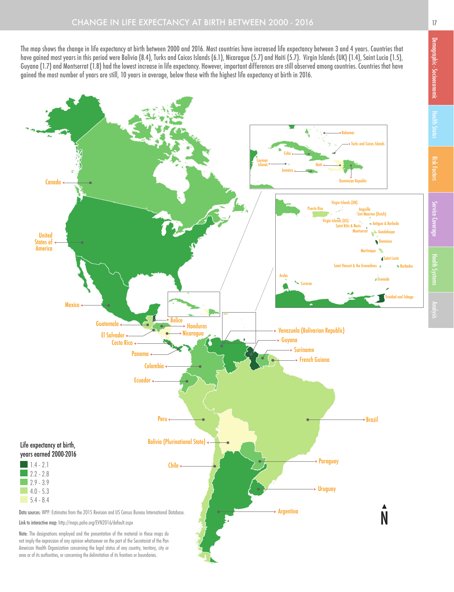The map shows the change in life expectancy at birth between 2000 and 2016. Most countries have increased life expectancy between 3 and 4 years. Countries that have gained most years in this period were Bolivia (8.4), Turks and Caicos Islands (6.1), Nicaragua (5.7) and Haiti (5.7). Virgin Islands (UK) (1.4), Saint Lucia (1.5), Guyana (1.7) and Montserrat (1.8) had the lowest increase in life expectancy. However, important differences are still observed among countries. Countries that have gained the most number of years are still, 10 years in average, below those with the highest life expectancy at birth in 2016.



Health Systems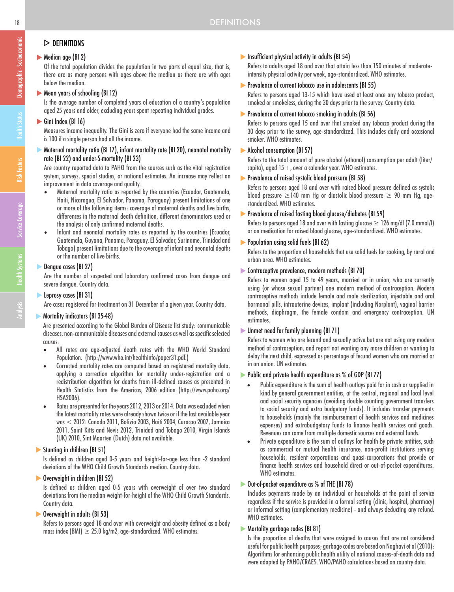# $\triangleright$  DEFINITIONS

## Median age (BI 2)

Of the total population divides the population in two parts of equal size, that is, there are as many persons with ages above the median as there are with ages below the median.

## Mean years of schooling (BI 12)

Is the average number of completed years of education of a country's population aged 25 years and older, excluding years spent repeating individual grades.

## Gini Index (BI 16)

Measures income inequality. The Gini is zero if everyone had the same income and is 100 if a single person had all the income.

#### Maternal mortality ratio (BI 17), infant mortality rate (BI 20), neonatal mortality rate (BI 22) and under-5-mortality (BI 23)

Are country reported data to PAHO from the sources such as the vital registration system, surveys, special studies, or national estimates. An increase may reflect an improvement in data coverage and quality.

- Maternal mortality ratio as reported by the countries (Ecuador, Guatemala, Haiti, Nicaragua, El Salvador, Panama, Paraguay) present limitations of one or more of the following items: coverage of maternal deaths and live births, differences in the maternal death definition, different denominators used or the analysis of only confirmed maternal deaths.
- Infant and neonatal mortality rates as reported by the countries (Ecuador, Guatemala, Guyana, Panama, Paraguay, El Salvador, Suriname, Trinidad and Tobago) present limitations due to the coverage of infant and neonatal deaths or the number of live births.

## Dengue cases (BI 27)

Are the number of suspected and laboratory confirmed cases from dengue and severe dengue. Country data.

## **Leprosy cases (BI 31)**

Are cases registered for treatment on 31 December of a given year. Country data.

## **Mortality indicators (BI 35-48)**

Are presented according to the Global Burden of Disease list study: communicable diseases, non-communicable diseases and external causes as well as specific selected causes.

- All rates are age-adjusted death rates with the WHO World Standard Population. (http://www.who.int/healthinfo/paper31.pdf.)
- Corrected mortality rates are computed based on registered mortality data, applying a correction algorithm for mortality under-registration and a redistribution algorithm for deaths from ill-defined causes as presented in Health Statistics from the Americas, 2006 edition (http://www.paho.org/ HSA2006).
- Rates are presented for the years 2012, 2013 or 2014. Data was excluded when the latest mortality rates were already shown twice or if the last available year was < 2012: Canada 2011, Bolivia 2003, Haiti 2004, Curacao 2007, Jamaica 2011, Saint Kitts and Nevis 2012, Trinidad and Tobago 2010, Virgin Islands (UK) 2010, Sint Maarten (Dutch) data not available.

## Stunting in children (BI 51)

Is defined as children aged 0-5 years and height-for-age less than -2 standard deviations of the WHO Child Growth Standards median. Country data.

## Overweight in children (BI 52)

Is defined as children aged 0-5 years with overweight of over two standard deviations from the median weight-for-height of the WHO Child Growth Standards. Country data.

## Overweight in adults (BI 53)

Refers to persons aged 18 and over with overweight and obesity defined as a body mass index (BMI)  $\geq$  25.0 kg/m2, age-standardized. WHO estimates.

## Insufficient physical activity in adults (BI 54)

Refers to adults aged 18 and over that attain less than 150 minutes of moderateintensity physical activity per week, age-standardized. WHO estimates.

## Prevalence of current tobacco use in adolescents (BI 55)

Refers to persons aged 13-15 which have used at least once any tobacco product, smoked or smokeless, during the 30 days prior to the survey. Country data.

#### **Prevalence of current tobacco smoking in adults (BI 56)**

Refers to persons aged 15 and over that smoked any tobacco product during the 30 days prior to the survey, age-standardized. This includes daily and occasional smoker. WHO estimates.

### Alcohol consumption (BI 57)

Refers to the total amount of pure alcohol (ethanol) consumption per adult (liter/ capita), aged  $15+$ , over a calender year. WHO estimates.

## **Prevalence of raised systolic blood pressure (BI 58)**

Refers to persons aged 18 and over with raised blood pressure defined as systolic blood pressure  $\geq$ 140 mm Hg or diastolic blood pressure  $\geq$  90 mm Hg, agestandardized. WHO estimates.

#### Prevalence of raised fasting blood glucose/diabetes (BI 59)

Refers to persons aged 18 and over with fasting glucose  $\geq$  126 mg/dl (7.0 mmol/l) or on medication for raised blood glucose, age-standardized. WHO estimates.

#### **Population using solid fuels (BI 62)**

Refers to the proportion of households that use solid fuels for cooking, by rural and urban area. WHO estimates.

#### Contraceptive prevalence, modern methods (BI 70)

Refers to women aged 15 to 49 years, married or in union, who are currently using (or whose sexual partner) one modern method of contraception. Modern contraceptive methods include female and male sterilization, injectable and oral hormonal pills, intrauterine devices, implant (including Norplant), vaginal barrier methods, diaphragm, the female condom and emergency contraception. UN estimates.

## Unmet need for family planning (BI 71)

Refers to women who are fecund and sexually active but are not using any modern method of contraception, and report not wanting any more children or wanting to delay the next child, expressed as percentage of fecund women who are married or in an union. UN estimates.

#### Public and private health expenditure as % of GDP (BI 77)

- Public expenditure is the sum of health outlays paid for in cash or supplied in kind by general government entities, at the central, regional and local level and social security agencies (avoiding double counting government transfers to social security and extra budgetary funds). It includes transfer payments to households (mainly the reimbursement of health services and medicines expenses) and extrabudgetary funds to finance health services and goods. Revenues can come from multiple domestic sources and external funds.
- Private expenditure is the sum of outlays for health by private entities, such as commercial or mutual health insurance, non-profit institutions serving households, resident corporations and quasi-corporations that provide or finance health services and household direct or out-of-pocket expenditures. WHO estimates.

## Out-of-pocket expenditure as % of THE (BI 78)

Includes payments made by an individual or households at the point of service regardless if the service is provided in a formal setting (clinic, hospital, pharmacy) or informal setting (complementary medicine) - and always deducting any refund. WHO estimates.

#### **Mortality garbage codes (BI 81)**

Is the proportion of deaths that were assigned to causes that are not considered useful for public health purposes; garbage codes are based on Naghavi et al (2010): Algorithms for enhancing public health utility of national causes-of-death data and were adapted by PAHO/CRAES. WHO/PAHO calculations based on country data.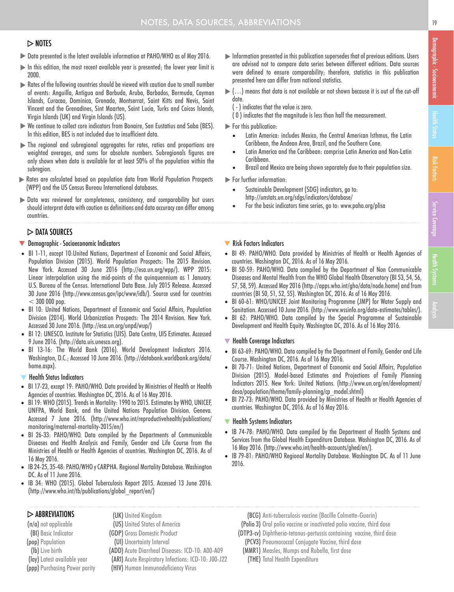## $>$  NOTES

- Data presented is the latest available information at PAHO/WHO as of May 2016.
- $\blacktriangleright$  In this edition, the most recent available year is presented; the lower year limit is 2000.
- Rates of the following countries should be viewed with caution due to small number of events: Anguilla, Antigua and Barbuda, Aruba, Barbados, Bermuda, Cayman Islands, Curacao, Dominica, Grenada, Montserrat, Saint Kitts and Nevis, Saint Vincent and the Grenadines, Sint Maarten, Saint Lucia, Turks and Caicos Islands, Virgin Islands (UK) and Virgin Islands (US).
- We continue to collect core indicators from Bonaire, San Eustatius and Saba (BES). In this edition, BES is not included due to insufficient data.
- The regional and subregional aggregates for rates, ratios and proportions are weighted averages, and sums for absolute numbers. Subregionals figures are only shown when data is available for at least 50% of the population within the subregion.
- Rates are calculated based on population data from World Population Prospects (WPP) and the US Census Bureau International databases.
- Data was reviewed for completeness, consistency, and comparability but users should interpret data with caution as definitions and data accuracy can differ among countries.

## $\triangleright$  DATA SOURCES

#### **V** Demographic - Socioeconomic Indicators

- BI 1-11, except 10:United Nations, Department of Economic and Social Affairs, Population Division (2015). World Population Prospects: The 2015 Revision. New York. Accessed 30 June 2016 (http://esa.un.org/wpp/). WPP 2015: Linear interpolation using the mid-points of the quinquennium as 1 January. U.S. Bureau of the Census. International Data Base. July 2015 Release. Accessed 30 June 2016 (http://www.census.gov/ipc/www/idb/). Source used for countries  $< 300 000$  pop.
- BI 10: United Nations, Department of Economic and Social Affairs, Population Division (2014). World Urbanization Prospects: The 2014 Revision. New York. Accessed 30 June 2016. (http://esa.un.org/unpd/wup/)
- BI 12: UNESCO. Institute for Statistics (UIS). Data Centre, UIS Estimates. Accessed 9 June 2016. (http://data.uis.unesco.org).
- BI 13-16: The World Bank (2016). World Development Indicators 2016. Washington, D.C.; Accessed 10 June 2016. (http://databank.worldbank.org/data/ home.aspx).

#### $\blacktriangledown$  Health Status Indicators

- BI 17-23, except 19: PAHO/WHO. Data provided by Ministries of Health or Health Agencies of countries. Washington DC, 2016. As of 16 May 2016.
- BI 19: WHO (2015). Trends in Mortality: 1990 to 2015. Estimates by WHO, UNICEF, UNFPA, World Bank, and the United Nations Population Division. Geneva. Accessed 7 June 2016. (http://www.who.int/reproductivehealth/publications/ monitoring/maternal-mortality-2015/en/)
- BI 26-33: PAHO/WHO. Data compiled by the Departments of Communicable Diseases and Health Analysis and Family, Gender and Life Course from the Ministries of Health or Health Agencies of countries. Washington DC, 2016. As of 16 May 2016.
- IB 24-25, 35-48: PAHO/WHO y CARPHA. Regional Mortality Database. Washington DC. As of 11 June 2016.
- IB 34: WHO (2015). Global Tuberculosis Report 2015. Accessed 13 June 2016. (http://www.who.int/tb/publications/global\_report/en/)

#### $\triangleright$  ABBREVIATIONS

(n/a) not applicable (BI) Basic Indicator (pop) Population (lb) Live birth (lay) Latest available year (ppp) Purchasing Power parity (UK) United Kingdom (US) United States of America (GDP) Gross Domestic Product (UI) Uncertainty Interval (ADD) Acute Diarrheal Diseases: ICD-10: A00-A09 (ARI) Acute Respiratory Infections: ICD-10: J00-J22 (HIV) Human Immunodeficiency Virus

- Information presented in this publication supersedes that of previous editions. Users are advised not to compare data series between different editions. Data sources were defined to ensure comparability; therefore, statistics in this publication presented here can differ from national statistics.
- $\blacktriangleright$  (...) means that data is not available or not shown because it is out of the cut-off date.
	- ( ) indicates that the value is zero.
	- ( 0 ) indicates that the magnitude is less than half the measurement.
- For this publication:
	- Latin America: includes Mexico, the Central American Isthmus, the Latin Caribbean, the Andean Area, Brazil, and the Southern Cone.
	- Latin America and the Caribbean: comprise Latin America and Non-Latin Caribbean.
	- Brazil and Mexico are being shown separately due to their population size.
- For further information:
	- Sustainable Development (SDG) indicators, go to: http://unstats.un.org/sdgs/indicators/database/
	- For the basic indicators time series, go to: www.paho.org/plisa

#### **W** Risk Factors Indicators

- BI 49: PAHO/WHO. Data provided by Ministries of Health or Health Agencies of countries. Washington DC, 2016. As of 16 May 2016.
- BI 50-59: PAHO/WHO. Data compiled by the Department of Non Communicable Diseases and Mental Health from the WHO Global Health Observatory (BI 53, 54, 56, 57, 58, 59). Accessed May 2016 (http://apps.who.int/gho/data/node.home) and from countries (BI 50, 51, 52, 55). Washington DC, 2016. As of 16 May 2016.
- BI 60-61: WHO/UNICEF. Joint Monitoring Programme (JMP) for Water Supply and Sanitation. Accessed 10 June 2016. (http://www.wssinfo.org/data-estimates/tables/).
- BI 62: PAHO/WHO. Data compiled by the Special Programme of Sustainable Development and Health Equity. Washington DC, 2016. As of 16 May 2016.

#### $\blacktriangledown$  Health Coverage Indicators

- BI 63-69: PAHO/WHO. Data compiled by the Department of Family, Gender and Life Course. Washington DC, 2016. As of 16 May 2016.
- BI 70-71: United Nations, Department of Economic and Social Affairs, Population Division (2015). Model-based Estimates and Projections of Family Planning Indicators 2015. New York: United Nations. (http://www.un.org/en/development/ desa/population/theme/family-planning/cp\_model.shtml)
- BI 72-73: PAHO/WHO. Data provided by Ministries of Health or Health Agencies of countries. Washington DC, 2016. As of 16 May 2016.

#### ▼ Health Systems Indicators

- IB 74-78: PAHO/WHO. Data compiled by the Department of Health Systems and Services from the Global Health Expenditure Database. Washington DC, 2016. As of 16 May 2016. (http://www.who.int/health-accounts/ghed/en/).
- IB 79-81: PAHO/WHO Regional Mortality Database. Washington DC. As of 11 June 2016.
	- (BCG) Anti-tuberculosis vaccine (Bacille Calmette-Guerin)
	- (Polio 3) Oral polio vaccine or inactivated polio vaccine, third dose
	- (DTP3-cv) Diphtheria-tetanus-pertussis containing vaccine, third dose
	- (PCV3) Pneumococcal Conjugate Vaccine, third dose
	- (MMR1) Measles, Mumps and Rubella, first dose
		- (THE) Total Health Expenditure